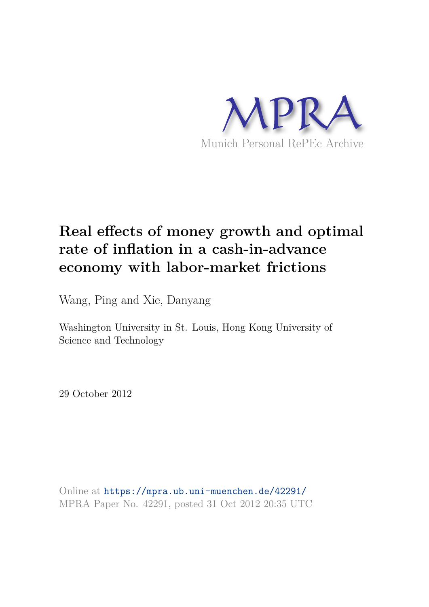

# **Real effects of money growth and optimal rate of inflation in a cash-in-advance economy with labor-market frictions**

Wang, Ping and Xie, Danyang

Washington University in St. Louis, Hong Kong University of Science and Technology

29 October 2012

Online at https://mpra.ub.uni-muenchen.de/42291/ MPRA Paper No. 42291, posted 31 Oct 2012 20:35 UTC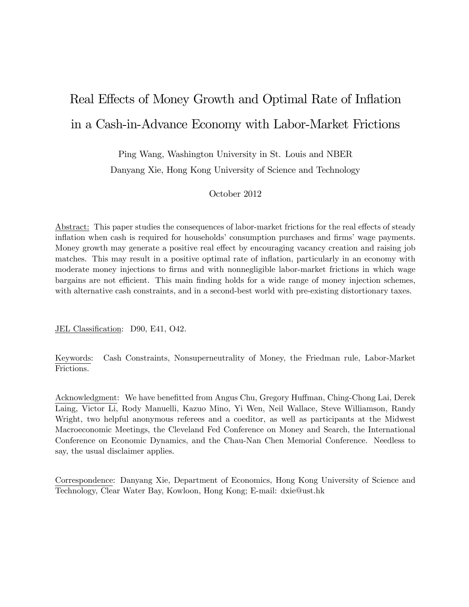# Real Effects of Money Growth and Optimal Rate of Inflation in a Cash-in-Advance Economy with Labor-Market Frictions

Ping Wang, Washington University in St. Louis and NBER

Danyang Xie, Hong Kong University of Science and Technology

October 2012

Abstract: This paper studies the consequences of labor-market frictions for the real effects of steady inflation when cash is required for households' consumption purchases and firms' wage payments. Money growth may generate a positive real effect by encouraging vacancy creation and raising job matches. This may result in a positive optimal rate of inflation, particularly in an economy with moderate money injections to firms and with nonnegligible labor-market frictions in which wage bargains are not efficient. This main finding holds for a wide range of money injection schemes, with alternative cash constraints, and in a second-best world with pre-existing distortionary taxes.

JEL Classification: D90, E41, O42.

Keywords: Cash Constraints, Nonsuperneutrality of Money, the Friedman rule, Labor-Market Frictions.

Acknowledgment: We have benefitted from Angus Chu, Gregory Huffman, Ching-Chong Lai, Derek Laing, Victor Li, Rody Manuelli, Kazuo Mino, Yi Wen, Neil Wallace, Steve Williamson, Randy Wright, two helpful anonymous referees and a coeditor, as well as participants at the Midwest Macroeconomic Meetings, the Cleveland Fed Conference on Money and Search, the International Conference on Economic Dynamics, and the Chau-Nan Chen Memorial Conference. Needless to say, the usual disclaimer applies.

Correspondence: Danyang Xie, Department of Economics, Hong Kong University of Science and Technology, Clear Water Bay, Kowloon, Hong Kong; E-mail: dxie@ust.hk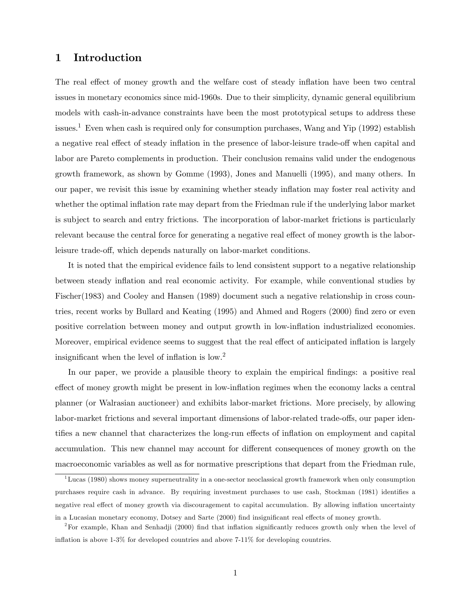## 1 Introduction

The real effect of money growth and the welfare cost of steady inflation have been two central issues in monetary economics since mid-1960s. Due to their simplicity, dynamic general equilibrium models with cash-in-advance constraints have been the most prototypical setups to address these issues.<sup>1</sup> Even when cash is required only for consumption purchases, Wang and Yip (1992) establish a negative real effect of steady inflation in the presence of labor-leisure trade-off when capital and labor are Pareto complements in production. Their conclusion remains valid under the endogenous growth framework, as shown by Gomme (1993), Jones and Manuelli (1995), and many others. In our paper, we revisit this issue by examining whether steady inflation may foster real activity and whether the optimal inflation rate may depart from the Friedman rule if the underlying labor market is subject to search and entry frictions. The incorporation of labor-market frictions is particularly relevant because the central force for generating a negative real effect of money growth is the laborleisure trade-off, which depends naturally on labor-market conditions.

It is noted that the empirical evidence fails to lend consistent support to a negative relationship between steady inflation and real economic activity. For example, while conventional studies by Fischer(1983) and Cooley and Hansen (1989) document such a negative relationship in cross countries, recent works by Bullard and Keating (1995) and Ahmed and Rogers (2000) find zero or even positive correlation between money and output growth in low-ináation industrialized economies. Moreover, empirical evidence seems to suggest that the real effect of anticipated inflation is largely insignificant when the level of inflation is low.<sup>2</sup>

In our paper, we provide a plausible theory to explain the empirical findings: a positive real effect of money growth might be present in low-inflation regimes when the economy lacks a central planner (or Walrasian auctioneer) and exhibits labor-market frictions. More precisely, by allowing labor-market frictions and several important dimensions of labor-related trade-offs, our paper identifies a new channel that characterizes the long-run effects of inflation on employment and capital accumulation. This new channel may account for different consequences of money growth on the macroeconomic variables as well as for normative prescriptions that depart from the Friedman rule,

<sup>1</sup>Lucas (1980) shows money superneutrality in a one-sector neoclassical growth framework when only consumption purchases require cash in advance. By requiring investment purchases to use cash, Stockman (1981) identifies a negative real effect of money growth via discouragement to capital accumulation. By allowing inflation uncertainty in a Lucasian monetary economy, Dotsey and Sarte (2000) find insignificant real effects of money growth.

 $2$ For example, Khan and Senhadji (2000) find that inflation significantly reduces growth only when the level of inflation is above  $1-3\%$  for developed countries and above  $7-11\%$  for developing countries.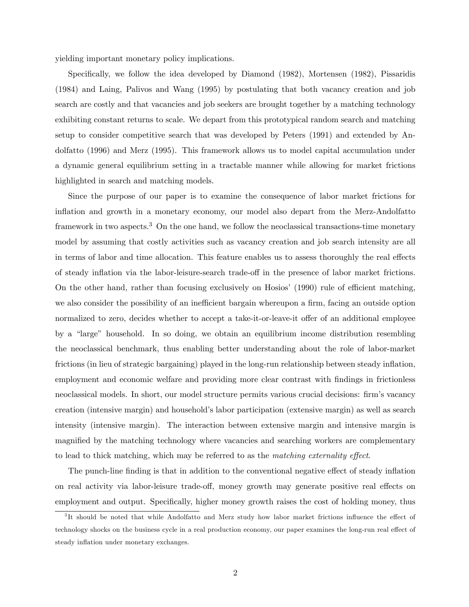yielding important monetary policy implications.

Specifically, we follow the idea developed by Diamond (1982), Mortensen (1982), Pissaridis (1984) and Laing, Palivos and Wang (1995) by postulating that both vacancy creation and job search are costly and that vacancies and job seekers are brought together by a matching technology exhibiting constant returns to scale. We depart from this prototypical random search and matching setup to consider competitive search that was developed by Peters (1991) and extended by Andolfatto (1996) and Merz (1995). This framework allows us to model capital accumulation under a dynamic general equilibrium setting in a tractable manner while allowing for market frictions highlighted in search and matching models.

Since the purpose of our paper is to examine the consequence of labor market frictions for inflation and growth in a monetary economy, our model also depart from the Merz-Andolfatto framework in two aspects.<sup>3</sup> On the one hand, we follow the neoclassical transactions-time monetary model by assuming that costly activities such as vacancy creation and job search intensity are all in terms of labor and time allocation. This feature enables us to assess thoroughly the real effects of steady inflation via the labor-leisure-search trade-off in the presence of labor market frictions. On the other hand, rather than focusing exclusively on Hosios'  $(1990)$  rule of efficient matching, we also consider the possibility of an inefficient bargain whereupon a firm, facing an outside option normalized to zero, decides whether to accept a take-it-or-leave-it offer of an additional employee by a "large" household. In so doing, we obtain an equilibrium income distribution resembling the neoclassical benchmark, thus enabling better understanding about the role of labor-market frictions (in lieu of strategic bargaining) played in the long-run relationship between steady ináation, employment and economic welfare and providing more clear contrast with findings in frictionless neoclassical models. In short, our model structure permits various crucial decisions: firm's vacancy creation (intensive margin) and household's labor participation (extensive margin) as well as search intensity (intensive margin). The interaction between extensive margin and intensive margin is magnified by the matching technology where vacancies and searching workers are complementary to lead to thick matching, which may be referred to as the matching externality effect.

The punch-line finding is that in addition to the conventional negative effect of steady inflation on real activity via labor-leisure trade-off, money growth may generate positive real effects on employment and output. Specifically, higher money growth raises the cost of holding money, thus

<sup>&</sup>lt;sup>3</sup>It should be noted that while Andolfatto and Merz study how labor market frictions influence the effect of technology shocks on the business cycle in a real production economy, our paper examines the long-run real effect of steady inflation under monetary exchanges.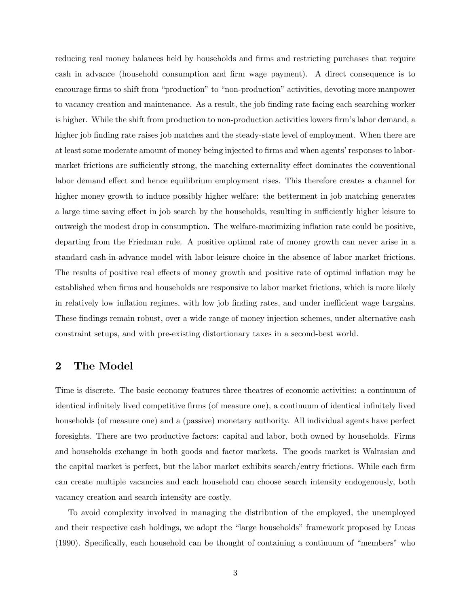reducing real money balances held by households and firms and restricting purchases that require cash in advance (household consumption and Örm wage payment). A direct consequence is to encourage firms to shift from "production" to "non-production" activities, devoting more manpower to vacancy creation and maintenance. As a result, the job Önding rate facing each searching worker is higher. While the shift from production to non-production activities lowers firm's labor demand, a higher job finding rate raises job matches and the steady-state level of employment. When there are at least some moderate amount of money being injected to firms and when agents' responses to labormarket frictions are sufficiently strong, the matching externality effect dominates the conventional labor demand effect and hence equilibrium employment rises. This therefore creates a channel for higher money growth to induce possibly higher welfare: the betterment in job matching generates a large time saving effect in job search by the households, resulting in sufficiently higher leisure to outweigh the modest drop in consumption. The welfare-maximizing ináation rate could be positive, departing from the Friedman rule. A positive optimal rate of money growth can never arise in a standard cash-in-advance model with labor-leisure choice in the absence of labor market frictions. The results of positive real effects of money growth and positive rate of optimal inflation may be established when firms and households are responsive to labor market frictions, which is more likely in relatively low inflation regimes, with low job finding rates, and under inefficient wage bargains. These findings remain robust, over a wide range of money injection schemes, under alternative cash constraint setups, and with pre-existing distortionary taxes in a second-best world.

## 2 The Model

Time is discrete. The basic economy features three theatres of economic activities: a continuum of identical infinitely lived competitive firms (of measure one), a continuum of identical infinitely lived households (of measure one) and a (passive) monetary authority. All individual agents have perfect foresights. There are two productive factors: capital and labor, both owned by households. Firms and households exchange in both goods and factor markets. The goods market is Walrasian and the capital market is perfect, but the labor market exhibits search/entry frictions. While each firm can create multiple vacancies and each household can choose search intensity endogenously, both vacancy creation and search intensity are costly.

To avoid complexity involved in managing the distribution of the employed, the unemployed and their respective cash holdings, we adopt the "large households" framework proposed by Lucas  $(1990)$ . Specifically, each household can be thought of containing a continuum of "members" who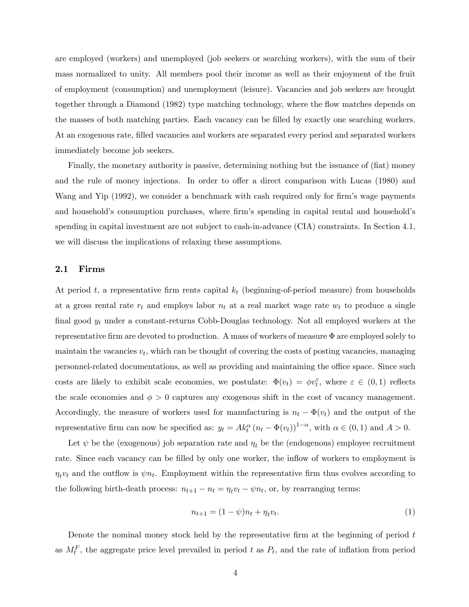are employed (workers) and unemployed (job seekers or searching workers), with the sum of their mass normalized to unity. All members pool their income as well as their enjoyment of the fruit of employment (consumption) and unemployment (leisure). Vacancies and job seekers are brought together through a Diamond (1982) type matching technology, where the flow matches depends on the masses of both matching parties. Each vacancy can be filled by exactly one searching workers. At an exogenous rate, filled vacancies and workers are separated every period and separated workers immediately become job seekers.

Finally, the monetary authority is passive, determining nothing but the issuance of (fiat) money and the rule of money injections. In order to offer a direct comparison with Lucas (1980) and Wang and Yip (1992), we consider a benchmark with cash required only for firm's wage payments and household's consumption purchases, where firm's spending in capital rental and household's spending in capital investment are not subject to cash-in-advance (CIA) constraints. In Section 4.1, we will discuss the implications of relaxing these assumptions.

## 2.1 Firms

At period t, a representative firm rents capital  $k_t$  (beginning-of-period measure) from households at a gross rental rate  $r_t$  and employs labor  $n_t$  at a real market wage rate  $w_t$  to produce a single final good  $y_t$  under a constant-returns Cobb-Douglas technology. Not all employed workers at the representative firm are devoted to production. A mass of workers of measure  $\Phi$  are employed solely to maintain the vacancies  $v_t$ , which can be thought of covering the costs of posting vacancies, managing personnel-related documentations, as well as providing and maintaining the office space. Since such costs are likely to exhibit scale economies, we postulate:  $\Phi(v_t) = \phi v_t^{\varepsilon}$ , where  $\varepsilon \in (0,1)$  reflects the scale economies and  $\phi > 0$  captures any exogenous shift in the cost of vacancy management. Accordingly, the measure of workers used for manufacturing is  $n_t - \Phi(v_t)$  and the output of the representative firm can now be specified as:  $y_t = Ak_t^{\alpha} (n_t - \Phi(v_t))^{1-\alpha}$ , with  $\alpha \in (0,1)$  and  $A > 0$ .

Let  $\psi$  be the (exogenous) job separation rate and  $\eta_t$  be the (endogenous) employee recruitment rate. Since each vacancy can be filled by only one worker, the inflow of workers to employment is  $\eta_t v_t$  and the outflow is  $\psi n_t$ . Employment within the representative firm thus evolves according to the following birth-death process:  $n_{t+1} - n_t = \eta_t v_t - \psi n_t$ , or, by rearranging terms:

$$
n_{t+1} = (1 - \psi)n_t + \eta_t v_t.
$$
\n(1)

Denote the nominal money stock held by the representative firm at the beginning of period  $t$ as  $M_t^F$ , the aggregate price level prevailed in period t as  $P_t$ , and the rate of inflation from period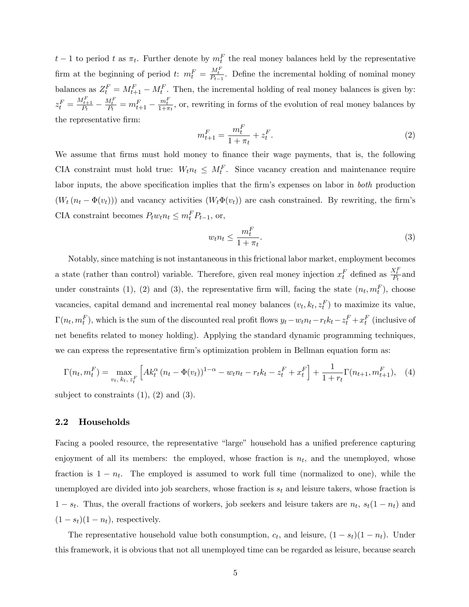$t-1$  to period t as  $\pi_t$ . Further denote by  $m_t^F$  the real money balances held by the representative firm at the beginning of period t:  $m_t^F = \frac{M_t^F}{P_{t-1}}$ . Define the incremental holding of nominal money balances as  $Z_t^F = M_{t+1}^F - M_t^F$ . Then, the incremental holding of real money balances is given by:  $z_t^F = \frac{M_{t+1}^F}{P_t} - \frac{M_t^F}{P_t} = m_{t+1}^F - \frac{m_t^F}{1+\pi_t}$ , or, rewriting in forms of the evolution of real money balances by the representative firm:

$$
m_{t+1}^{F} = \frac{m_t^F}{1 + \pi_t} + z_t^F.
$$
\n(2)

We assume that firms must hold money to finance their wage payments, that is, the following CIA constraint must hold true:  $W_t n_t \leq M_t^F$ . Since vacancy creation and maintenance require labor inputs, the above specification implies that the firm's expenses on labor in both production  $(W_t (n_t - \Phi(v_t)))$  and vacancy activities  $(W_t \Phi(v_t))$  are cash constrained. By rewriting, the firm's CIA constraint becomes  $P_t w_t n_t \leq m_t^F P_{t-1}$ , or,

$$
w_t n_t \le \frac{m_t^F}{1 + \pi_t}.\tag{3}
$$

Notably, since matching is not instantaneous in this frictional labor market, employment becomes a state (rather than control) variable. Therefore, given real money injection  $x_t^F$  defined as  $\frac{X_t^F}{P_t}$  and under constraints (1), (2) and (3), the representative firm will, facing the state  $(n_t, m_t^F)$ , choose vacancies, capital demand and incremental real money balances  $(v_t, k_t, z_t^F)$  to maximize its value,  $\Gamma(n_t, m_t^F)$ , which is the sum of the discounted real profit flows  $y_t - w_t n_t - r_t k_t - z_t^F + x_t^F$  (inclusive of net benefits related to money holding). Applying the standard dynamic programming techniques, we can express the representative firm's optimization problem in Bellman equation form as:

$$
\Gamma(n_t, m_t^F) = \max_{v_t, k_t, z_t^F} \left[ Ak_t^{\alpha} (n_t - \Phi(v_t))^{1-\alpha} - w_t n_t - r_t k_t - z_t^F + x_t^F \right] + \frac{1}{1 + r_t} \Gamma(n_{t+1}, m_{t+1}^F), \quad (4)
$$

subject to constraints  $(1)$ ,  $(2)$  and  $(3)$ .

## 2.2 Households

Facing a pooled resource, the representative "large" household has a unified preference capturing enjoyment of all its members: the employed, whose fraction is  $n_t$ , and the unemployed, whose fraction is  $1 - n_t$ . The employed is assumed to work full time (normalized to one), while the unemployed are divided into job searchers, whose fraction is  $s_t$  and leisure takers, whose fraction is  $1 - s_t$ . Thus, the overall fractions of workers, job seekers and leisure takers are  $n_t$ ,  $s_t(1 - n_t)$  and  $(1 - s_t)(1 - n_t)$ , respectively.

The representative household value both consumption,  $c_t$ , and leisure,  $(1 - s_t)(1 - n_t)$ . Under this framework, it is obvious that not all unemployed time can be regarded as leisure, because search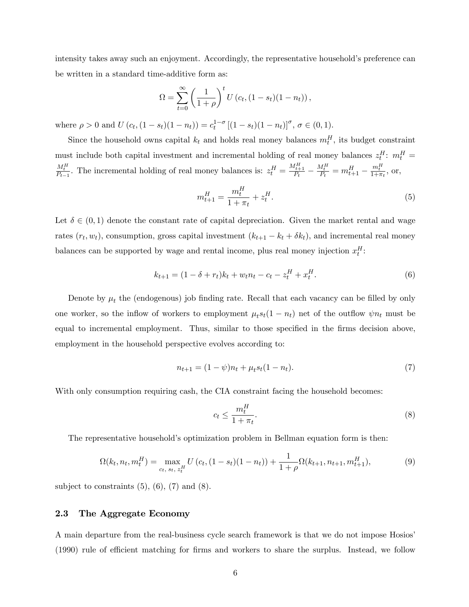intensity takes away such an enjoyment. Accordingly, the representative household's preference can be written in a standard time-additive form as:

$$
\Omega = \sum_{t=0}^{\infty} \left( \frac{1}{1+\rho} \right)^t U(c_t, (1-s_t)(1-n_t)),
$$

where  $\rho > 0$  and  $U(c_t, (1 - s_t)(1 - n_t)) = c_t^{1 - \sigma} [(1 - s_t)(1 - n_t)]^{\sigma}, \sigma \in (0, 1)$ .

Since the household owns capital  $k_t$  and holds real money balances  $m_t^H$ , its budget constraint must include both capital investment and incremental holding of real money balances  $z_t^H$ :  $m_t^H$  =  $\frac{M_t^H}{P_{t-1}}$ . The incremental holding of real money balances is:  $z_t^H = \frac{M_{t+1}^H}{P_t} - \frac{M_t^H}{P_t} = m_{t+1}^H - \frac{m_t^H}{1 + \pi_t}$ , or,

$$
m_{t+1}^H = \frac{m_t^H}{1 + \pi_t} + z_t^H.
$$
\n(5)

Let  $\delta \in (0,1)$  denote the constant rate of capital depreciation. Given the market rental and wage rates  $(r_t, w_t)$ , consumption, gross capital investment  $(k_{t+1} - k_t + \delta k_t)$ , and incremental real money balances can be supported by wage and rental income, plus real money injection  $x_t^H$ :

$$
k_{t+1} = (1 - \delta + r_t)k_t + w_t n_t - c_t - z_t^H + x_t^H.
$$
\n<sup>(6)</sup>

Denote by  $\mu_t$  the (endogenous) job finding rate. Recall that each vacancy can be filled by only one worker, so the inflow of workers to employment  $\mu_t s_t(1 - n_t)$  net of the outflow  $\psi n_t$  must be equal to incremental employment. Thus, similar to those specified in the firms decision above, employment in the household perspective evolves according to:

$$
n_{t+1} = (1 - \psi)n_t + \mu_t s_t (1 - n_t). \tag{7}
$$

With only consumption requiring cash, the CIA constraint facing the household becomes:

$$
c_t \le \frac{m_t^H}{1 + \pi_t}.\tag{8}
$$

The representative household's optimization problem in Bellman equation form is then:

$$
\Omega(k_t, n_t, m_t^H) = \max_{c_t, s_t, z_t^H} U(c_t, (1 - s_t)(1 - n_t)) + \frac{1}{1 + \rho} \Omega(k_{t+1}, n_{t+1}, m_{t+1}^H),
$$
\n(9)

subject to constraints  $(5)$ ,  $(6)$ ,  $(7)$  and  $(8)$ .

## 2.3 The Aggregate Economy

A main departure from the real-business cycle search framework is that we do not impose Hosiosí  $(1990)$  rule of efficient matching for firms and workers to share the surplus. Instead, we follow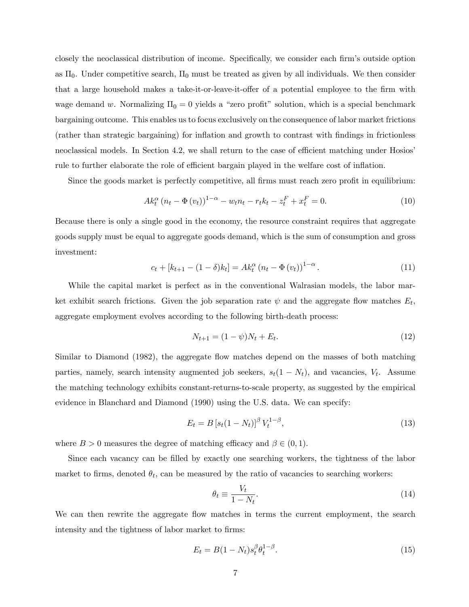closely the neoclassical distribution of income. Specifically, we consider each firm's outside option as  $\Pi_0$ . Under competitive search,  $\Pi_0$  must be treated as given by all individuals. We then consider that a large household makes a take-it-or-leave-it-offer of a potential employee to the firm with wage demand w. Normalizing  $\Pi_0 = 0$  yields a "zero profit" solution, which is a special benchmark bargaining outcome. This enables us to focus exclusively on the consequence of labor market frictions (rather than strategic bargaining) for inflation and growth to contrast with findings in frictionless neoclassical models. In Section 4.2, we shall return to the case of efficient matching under Hosios rule to further elaborate the role of efficient bargain played in the welfare cost of inflation.

Since the goods market is perfectly competitive, all firms must reach zero profit in equilibrium:

$$
Ak_t^{\alpha}(n_t - \Phi(v_t))^{1-\alpha} - w_t n_t - r_t k_t - z_t^F + x_t^F = 0.
$$
\n(10)

Because there is only a single good in the economy, the resource constraint requires that aggregate goods supply must be equal to aggregate goods demand, which is the sum of consumption and gross investment:

$$
c_t + [k_{t+1} - (1 - \delta)k_t] = Ak_t^{\alpha} (n_t - \Phi(v_t))^{1-\alpha}.
$$
 (11)

While the capital market is perfect as in the conventional Walrasian models, the labor market exhibit search frictions. Given the job separation rate  $\psi$  and the aggregate flow matches  $E_t$ , aggregate employment evolves according to the following birth-death process:

$$
N_{t+1} = (1 - \psi)N_t + E_t.
$$
\n(12)

Similar to Diamond (1982), the aggregate flow matches depend on the masses of both matching parties, namely, search intensity augmented job seekers,  $s_t(1 - N_t)$ , and vacancies,  $V_t$ . Assume the matching technology exhibits constant-returns-to-scale property, as suggested by the empirical evidence in Blanchard and Diamond (1990) using the U.S. data. We can specify:

$$
E_t = B\left[s_t(1 - N_t)\right]^\beta V_t^{1 - \beta},\tag{13}
$$

where  $B > 0$  measures the degree of matching efficacy and  $\beta \in (0, 1)$ .

Since each vacancy can be filled by exactly one searching workers, the tightness of the labor market to firms, denoted  $\theta_t$ , can be measured by the ratio of vacancies to searching workers:

$$
\theta_t \equiv \frac{V_t}{1 - N_t}.\tag{14}
$$

We can then rewrite the aggregate flow matches in terms the current employment, the search intensity and the tightness of labor market to firms:

$$
E_t = B(1 - N_t)s_t^{\beta} \theta_t^{1-\beta}.
$$
\n(15)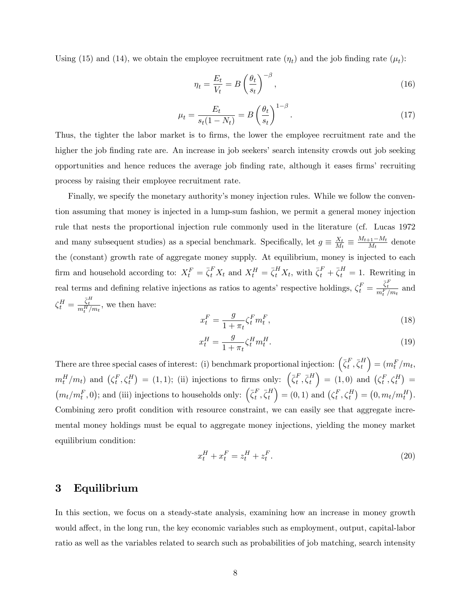Using (15) and (14), we obtain the employee recruitment rate  $(\eta_t)$  and the job finding rate  $(\mu_t)$ :

$$
\eta_t = \frac{E_t}{V_t} = B \left(\frac{\theta_t}{s_t}\right)^{-\beta},\tag{16}
$$

$$
\mu_t = \frac{E_t}{s_t(1 - N_t)} = B\left(\frac{\theta_t}{s_t}\right)^{1 - \beta}.
$$
\n(17)

Thus, the tighter the labor market is to firms, the lower the employee recruitment rate and the higher the job finding rate are. An increase in job seekers' search intensity crowds out job seeking opportunities and hence reduces the average job Önding rate, although it eases Örmsí recruiting process by raising their employee recruitment rate.

Finally, we specify the monetary authority's money injection rules. While we follow the convention assuming that money is injected in a lump-sum fashion, we permit a general money injection rule that nests the proportional injection rule commonly used in the literature (cf. Lucas 1972 and many subsequent studies) as a special benchmark. Specifically, let  $g \equiv \frac{X_t}{M}$  $\frac{X_t}{M_t} \equiv \frac{M_{t+1}-M_t}{M_t}$  $\frac{H_1 - M_t}{M_t}$  denote the (constant) growth rate of aggregate money supply. At equilibrium, money is injected to each firm and household according to:  $X_t^F = \overline{\zeta}_t^F X_t$  and  $X_t^H = \overline{\zeta}_t^H X_t$ , with  $\overline{\zeta}_t^F + \overline{\zeta}_t^H = 1$ . Rewriting in real terms and defining relative injections as ratios to agents' respective holdings,  $\zeta_t^F = \frac{\bar{\zeta}_t^F}{m_t^F/m_t}$  and  $\zeta_t^H = \frac{\bar{\zeta}_t^H}{m_t^H/m_t}$ , we then have:

$$
x_t^F = \frac{g}{1 + \pi_t} \zeta_t^F m_t^F,\tag{18}
$$

$$
x_t^H = \frac{g}{1 + \pi_t} \zeta_t^H m_t^H.
$$
\n<sup>(19)</sup>

There are three special cases of interest: (i) benchmark proportional injection: F  $_t^F$ ,  $\bar{\zeta}_t^H$  $\binom{H}{t} = \left(m_t^F/m_t, \right)$  $m_t^H/m_t$ ) and  $(\zeta_t^F, \zeta_t^H) = (1, 1);$  (ii) injections to firms only:  $(\bar{\zeta}_t^F)$  $_t^F$ ,  $\bar{\zeta}_t^H$  $\begin{pmatrix} H \\ t \end{pmatrix} = (1,0)$  and  $(\zeta_t^F, \zeta_t^H) =$  $(m_t/m_t^F, 0)$ ; and (iii) injections to households only:  $\left(\bar{\zeta}_t^F\right)$  $_t^F, \overline{\zeta}_t^H$  $\begin{pmatrix} H \\ t \end{pmatrix} = (0,1) \text{ and } (\zeta_t^F, \zeta_t^H) = (0, m_t/m_t^H).$ Combining zero profit condition with resource constraint, we can easily see that aggregate incremental money holdings must be equal to aggregate money injections, yielding the money market equilibrium condition:

$$
x_t^H + x_t^F = z_t^H + z_t^F.
$$
\n(20)

# 3 Equilibrium

In this section, we focus on a steady-state analysis, examining how an increase in money growth would affect, in the long run, the key economic variables such as employment, output, capital-labor ratio as well as the variables related to search such as probabilities of job matching, search intensity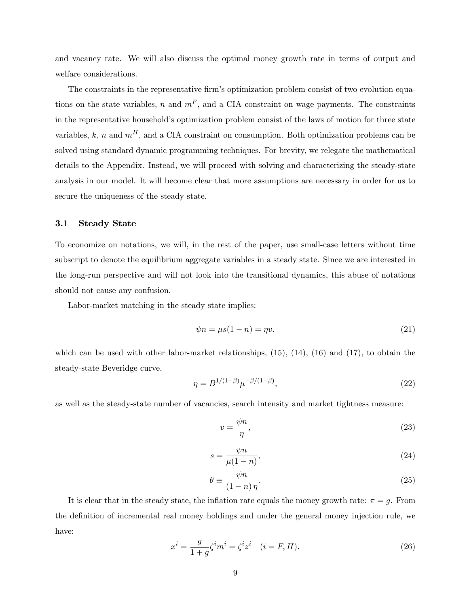and vacancy rate. We will also discuss the optimal money growth rate in terms of output and welfare considerations.

The constraints in the representative firm's optimization problem consist of two evolution equations on the state variables, n and  $m<sup>F</sup>$ , and a CIA constraint on wage payments. The constraints in the representative household's optimization problem consist of the laws of motion for three state variables,  $k$ , n and  $m<sup>H</sup>$ , and a CIA constraint on consumption. Both optimization problems can be solved using standard dynamic programming techniques. For brevity, we relegate the mathematical details to the Appendix. Instead, we will proceed with solving and characterizing the steady-state analysis in our model. It will become clear that more assumptions are necessary in order for us to secure the uniqueness of the steady state.

## 3.1 Steady State

To economize on notations, we will, in the rest of the paper, use small-case letters without time subscript to denote the equilibrium aggregate variables in a steady state. Since we are interested in the long-run perspective and will not look into the transitional dynamics, this abuse of notations should not cause any confusion.

Labor-market matching in the steady state implies:

$$
\psi n = \mu s (1 - n) = \eta v. \tag{21}
$$

which can be used with other labor-market relationships,  $(15)$ ,  $(14)$ ,  $(16)$  and  $(17)$ , to obtain the steady-state Beveridge curve,

$$
\eta = B^{1/(1-\beta)} \mu^{-\beta/(1-\beta)},\tag{22}
$$

as well as the steady-state number of vacancies, search intensity and market tightness measure:

$$
v = \frac{\psi n}{\eta},\tag{23}
$$

$$
s = \frac{\psi n}{\mu(1-n)},\tag{24}
$$

$$
\theta \equiv \frac{\psi n}{(1-n)\,\eta}.\tag{25}
$$

It is clear that in the steady state, the inflation rate equals the money growth rate:  $\pi = g$ . From the definition of incremental real money holdings and under the general money injection rule, we have:

$$
x^{i} = \frac{g}{1+g} \zeta^{i} m^{i} = \zeta^{i} z^{i} \quad (i = F, H). \tag{26}
$$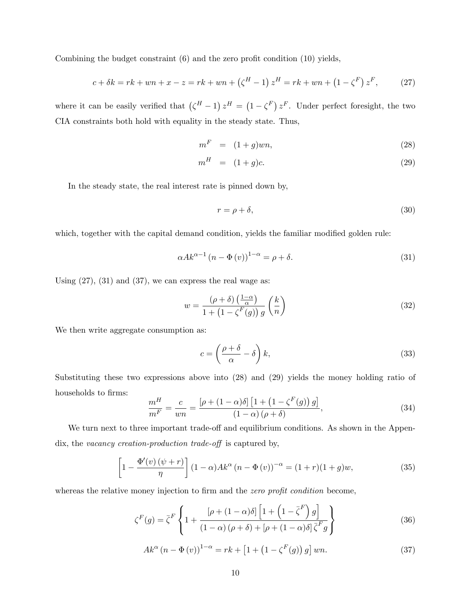Combining the budget constraint  $(6)$  and the zero profit condition  $(10)$  yields,

$$
c + \delta k = rk + wn + x - z = rk + wn + (\zeta^H - 1) z^H = rk + wn + (1 - \zeta^F) z^F,
$$
 (27)

where it can be easily verified that  $(\zeta^H - 1) z^H = (1 - \zeta^F) z^F$ . Under perfect foresight, the two CIA constraints both hold with equality in the steady state. Thus,

$$
m^F = (1+g)wn,\t\t(28)
$$

$$
m^H = (1+g)c.\t\t(29)
$$

In the steady state, the real interest rate is pinned down by,

$$
r = \rho + \delta,\tag{30}
$$

which, together with the capital demand condition, yields the familiar modified golden rule:

$$
\alpha A k^{\alpha - 1} \left( n - \Phi \left( v \right) \right)^{1 - \alpha} = \rho + \delta. \tag{31}
$$

Using  $(27)$ ,  $(31)$  and  $(37)$ , we can express the real wage as:

$$
w = \frac{\left(\rho + \delta\right)\left(\frac{1-\alpha}{\alpha}\right)}{1 + \left(1 - \zeta^F(g)\right)g} \left(\frac{k}{n}\right) \tag{32}
$$

We then write aggregate consumption as:

$$
c = \left(\frac{\rho + \delta}{\alpha} - \delta\right)k,\tag{33}
$$

Substituting these two expressions above into (28) and (29) yields the money holding ratio of households to firms:

$$
\frac{m^H}{m^F} = \frac{c}{wn} = \frac{\left[\rho + (1-\alpha)\delta\right]\left[1 + \left(1 - \zeta^F(g)\right)g\right]}{(1-\alpha)\left(\rho + \delta\right)},\tag{34}
$$

We turn next to three important trade-off and equilibrium conditions. As shown in the Appendix, the vacancy creation-production trade-off is captured by,

$$
\left[1 - \frac{\Phi'(v)(\psi + r)}{\eta}\right] (1 - \alpha) Ak^{\alpha} (n - \Phi(v))^{-\alpha} = (1 + r)(1 + g)w,
$$
\n(35)

whereas the relative money injection to firm and the *zero profit condition* become,

$$
\zeta^{F}(g) = \bar{\zeta}^{F} \left\{ 1 + \frac{\left[ \rho + (1 - \alpha)\delta \right] \left[ 1 + \left( 1 - \bar{\zeta}^{F} \right) g \right]}{(1 - \alpha) \left( \rho + \delta \right) + \left[ \rho + (1 - \alpha)\delta \right] \bar{\zeta}^{F} g} \right\}
$$
(36)

$$
Ak^{\alpha}(n - \Phi(v))^{1-\alpha} = rk + \left[1 + \left(1 - \zeta^F(g)\right)g\right]wn.
$$
\n(37)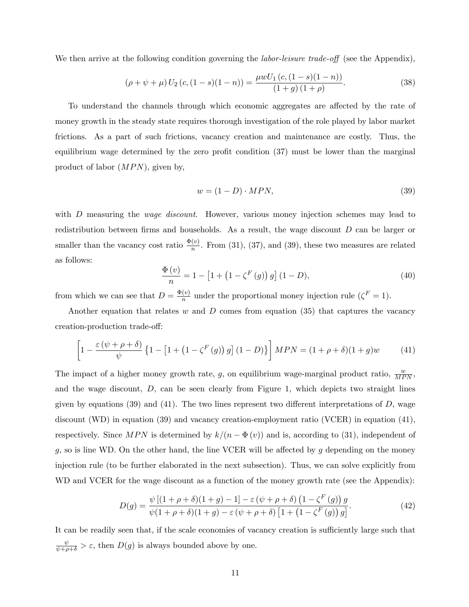We then arrive at the following condition governing the *labor-leisure trade-off* (see the Appendix),

$$
(\rho + \psi + \mu) U_2 (c, (1 - s)(1 - n)) = \frac{\mu w U_1 (c, (1 - s)(1 - n))}{(1 + g)(1 + \rho)}.
$$
\n(38)

To understand the channels through which economic aggregates are affected by the rate of money growth in the steady state requires thorough investigation of the role played by labor market frictions. As a part of such frictions, vacancy creation and maintenance are costly. Thus, the equilibrium wage determined by the zero profit condition  $(37)$  must be lower than the marginal product of labor  $(MPN)$ , given by,

$$
w = (1 - D) \cdot MPN,\tag{39}
$$

with D measuring the *wage discount*. However, various money injection schemes may lead to redistribution between firms and households. As a result, the wage discount  $D$  can be larger or smaller than the vacancy cost ratio  $\frac{\Phi(v)}{n}$ . From (31), (37), and (39), these two measures are related as follows:

$$
\frac{\Phi(v)}{n} = 1 - [1 + (1 - \zeta^F(g)) g] (1 - D), \tag{40}
$$

from which we can see that  $D = \frac{\Phi(v)}{n}$  $\frac{v(v)}{n}$  under the proportional money injection rule  $(\zeta^F = 1)$ .

Another equation that relates  $w$  and  $D$  comes from equation (35) that captures the vacancy creation-production trade-off:

$$
\left[1 - \frac{\varepsilon(\psi + \rho + \delta)}{\psi} \left\{1 - \left[1 + \left(1 - \zeta^F\left(g\right)\right)g\right](1 - D)\right\}\right] MPN = (1 + \rho + \delta)(1 + g)w \tag{41}
$$

The impact of a higher money growth rate, g, on equilibrium wage-marginal product ratio,  $\frac{w}{MPN}$ , and the wage discount,  $D$ , can be seen clearly from Figure 1, which depicts two straight lines given by equations (39) and (41). The two lines represent two different interpretations of  $D$ , wage discount (WD) in equation (39) and vacancy creation-employment ratio (VCER) in equation (41), respectively. Since MPN is determined by  $k/(n - \Phi(v))$  and is, according to (31), independent of  $g$ , so is line WD. On the other hand, the line VCER will be affected by  $g$  depending on the money injection rule (to be further elaborated in the next subsection). Thus, we can solve explicitly from WD and VCER for the wage discount as a function of the money growth rate (see the Appendix):

$$
D(g) = \frac{\psi\left[(1+\rho+\delta)(1+g)-1\right]-\varepsilon\left(\psi+\rho+\delta\right)\left(1-\zeta^F\left(g\right)\right)g}{\psi(1+\rho+\delta)(1+g)-\varepsilon\left(\psi+\rho+\delta\right)\left[1+\left(1-\zeta^F\left(g\right)\right)g\right]}.
$$
\n(42)

It can be readily seen that, if the scale economies of vacancy creation is sufficiently large such that  $\frac{\psi}{\psi + \rho + \delta} > \varepsilon$ , then  $D(g)$  is always bounded above by one.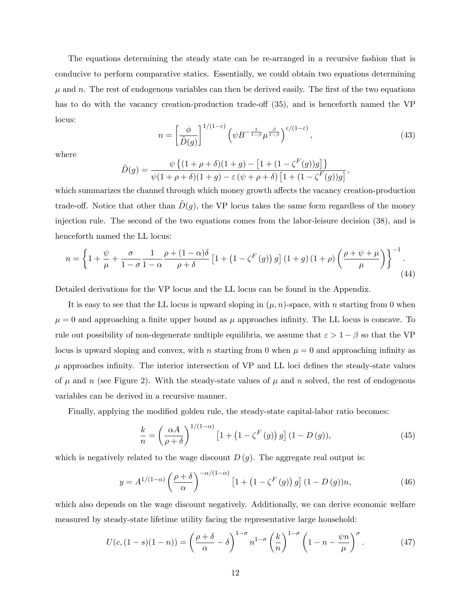The equations determining the steady state can be re-arranged in a recursive fashion that is conducive to perform comparative statics. Essentially, we could obtain two equations determining  $\mu$  and n. The rest of endogenous variables can then be derived easily. The first of the two equations has to do with the vacancy creation-production trade-off  $(35)$ , and is henceforth named the VP locus:

$$
n = \left[\frac{\phi}{\tilde{D}(g)}\right]^{1/(1-\varepsilon)} \left(\psi B^{-\frac{1}{1-\beta}} \mu^{\frac{\beta}{1-\beta}}\right)^{\varepsilon/(1-\varepsilon)},\tag{43}
$$

where

$$
\tilde{D}(g) = \frac{\psi \left\{ (1 + \rho + \delta)(1 + g) - \left[ 1 + (1 - \zeta^F(g))g \right] \right\}}{\psi(1 + \rho + \delta)(1 + g) - \varepsilon (\psi + \rho + \delta) \left[ 1 + (1 - \zeta^F(g))g \right]},
$$

which summarizes the channel through which money growth affects the vacancy creation-production trade-off. Notice that other than  $D(g)$ , the VP locus takes the same form regardless of the money injection rule. The second of the two equations comes from the labor-leisure decision (38), and is henceforth named the LL locus:

$$
n = \left\{ 1 + \frac{\psi}{\mu} + \frac{\sigma}{1 - \sigma} \frac{1}{1 - \alpha} \frac{\rho + (1 - \alpha)\delta}{\rho + \delta} \left[ 1 + \left( 1 - \zeta^F \left( g \right) \right) g \right] (1 + g) \left( 1 + \rho \right) \left( \frac{\rho + \psi + \mu}{\mu} \right) \right\}^{-1} . \tag{44}
$$

Detailed derivations for the VP locus and the LL locus can be found in the Appendix.

It is easy to see that the LL locus is upward sloping in  $(\mu, n)$ -space, with n starting from 0 when  $\mu = 0$  and approaching a finite upper bound as  $\mu$  approaches infinity. The LL locus is concave. To rule out possibility of non-degenerate multiple equilibria, we assume that  $\varepsilon > 1 - \beta$  so that the VP locus is upward sloping and convex, with n starting from 0 when  $\mu = 0$  and approaching infinity as  $\mu$  approaches infinity. The interior intersection of VP and LL loci defines the steady-state values of  $\mu$  and n (see Figure 2). With the steady-state values of  $\mu$  and n solved, the rest of endogenous variables can be derived in a recursive manner.

Finally, applying the modified golden rule, the steady-state capital-labor ratio becomes:

$$
\frac{k}{n} = \left(\frac{\alpha A}{\rho + \delta}\right)^{1/(1-\alpha)} \left[1 + \left(1 - \zeta^F\left(g\right)\right)g\right](1 - D\left(g\right)),\tag{45}
$$

which is negatively related to the wage discount  $D(g)$ . The aggregate real output is:

$$
y = A^{1/(1-\alpha)} \left(\frac{\rho+\delta}{\alpha}\right)^{-\alpha/(1-\alpha)} \left[1 + \left(1 - \zeta^F\left(g\right)\right)g\right] (1 - D\left(g\right))n,\tag{46}
$$

which also depends on the wage discount negatively. Additionally, we can derive economic welfare measured by steady-state lifetime utility facing the representative large household:

$$
U(c, (1-s)(1-n)) = \left(\frac{\rho+\delta}{\alpha}-\delta\right)^{1-\sigma} n^{1-\sigma} \left(\frac{k}{n}\right)^{1-\sigma} \left(1-n-\frac{\psi n}{\mu}\right)^{\sigma}.
$$
 (47)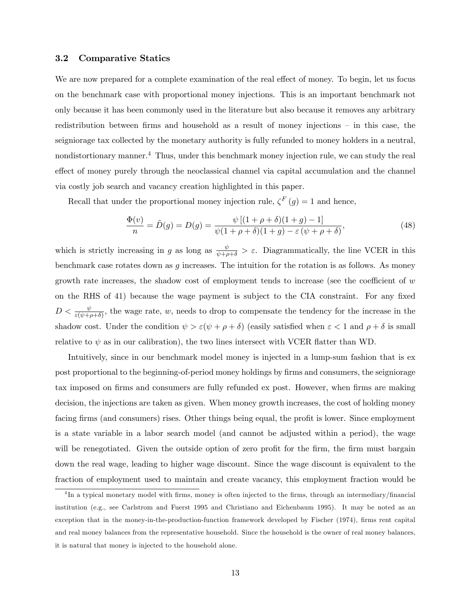## 3.2 Comparative Statics

We are now prepared for a complete examination of the real effect of money. To begin, let us focus on the benchmark case with proportional money injections. This is an important benchmark not only because it has been commonly used in the literature but also because it removes any arbitrary redistribution between firms and household as a result of money injections  $-$  in this case, the seigniorage tax collected by the monetary authority is fully refunded to money holders in a neutral, nondistortionary manner.<sup>4</sup> Thus, under this benchmark money injection rule, we can study the real effect of money purely through the neoclassical channel via capital accumulation and the channel via costly job search and vacancy creation highlighted in this paper.

Recall that under the proportional money injection rule,  $\zeta^F(g) = 1$  and hence,

$$
\frac{\Phi(v)}{n} = \tilde{D}(g) = D(g) = \frac{\psi\left[(1+\rho+\delta)(1+g) - 1\right]}{\psi(1+\rho+\delta)(1+g) - \varepsilon(\psi+\rho+\delta)},\tag{48}
$$

which is strictly increasing in g as long as  $\frac{\psi}{\psi+\rho+\delta} > \varepsilon$ . Diagrammatically, the line VCER in this benchmark case rotates down as  $g$  increases. The intuition for the rotation is as follows. As money growth rate increases, the shadow cost of employment tends to increase (see the coefficient of  $w$ on the RHS of 41) because the wage payment is subject to the CIA constraint. For any fixed  $D < \frac{\psi}{\varepsilon(\psi + \rho + \delta)}$ , the wage rate, w, needs to drop to compensate the tendency for the increase in the shadow cost. Under the condition  $\psi > \varepsilon(\psi + \rho + \delta)$  (easily satisfied when  $\varepsilon < 1$  and  $\rho + \delta$  is small relative to  $\psi$  as in our calibration), the two lines intersect with VCER flatter than WD.

Intuitively, since in our benchmark model money is injected in a lump-sum fashion that is ex post proportional to the beginning-of-period money holdings by Örms and consumers, the seigniorage tax imposed on firms and consumers are fully refunded ex post. However, when firms are making decision, the injections are taken as given. When money growth increases, the cost of holding money facing firms (and consumers) rises. Other things being equal, the profit is lower. Since employment is a state variable in a labor search model (and cannot be adjusted within a period), the wage will be renegotiated. Given the outside option of zero profit for the firm, the firm must bargain down the real wage, leading to higher wage discount. Since the wage discount is equivalent to the fraction of employment used to maintain and create vacancy, this employment fraction would be

<sup>&</sup>lt;sup>4</sup>In a typical monetary model with firms, money is often injected to the firms, through an intermediary/financial institution (e.g., see Carlstrom and Fuerst 1995 and Christiano and Eichenbaum 1995). It may be noted as an exception that in the money-in-the-production-function framework developed by Fischer (1974), firms rent capital and real money balances from the representative household. Since the household is the owner of real money balances, it is natural that money is injected to the household alone.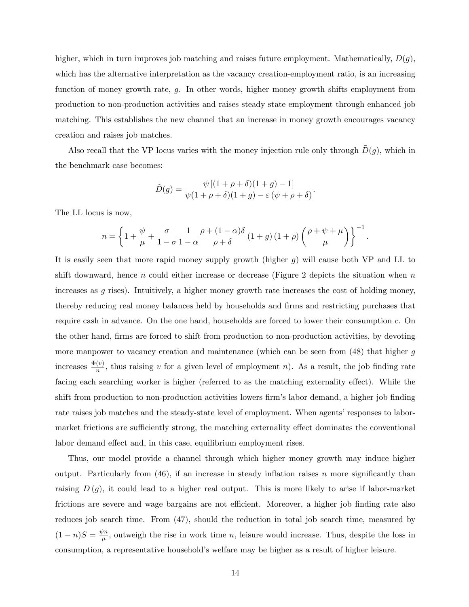higher, which in turn improves job matching and raises future employment. Mathematically,  $D(g)$ , which has the alternative interpretation as the vacancy creation-employment ratio, is an increasing function of money growth rate, g. In other words, higher money growth shifts employment from production to non-production activities and raises steady state employment through enhanced job matching. This establishes the new channel that an increase in money growth encourages vacancy creation and raises job matches.

Also recall that the VP locus varies with the money injection rule only through  $D(g)$ , which in the benchmark case becomes:

$$
\tilde{D}(g) = \frac{\psi\left[(1+\rho+\delta)(1+g)-1\right]}{\psi(1+\rho+\delta)(1+g)-\varepsilon(\psi+\rho+\delta)}.
$$

The LL locus is now,

$$
n = \left\{1 + \frac{\psi}{\mu} + \frac{\sigma}{1 - \sigma}\frac{1}{1 - \alpha}\frac{\rho + (1 - \alpha)\delta}{\rho + \delta}\left(1 + g\right)\left(1 + \rho\right)\left(\frac{\rho + \psi + \mu}{\mu}\right)\right\}^{-1}.
$$

It is easily seen that more rapid money supply growth (higher g) will cause both VP and LL to shift downward, hence n could either increase or decrease (Figure 2 depicts the situation when  $n$ increases as  $g$  rises). Intuitively, a higher money growth rate increases the cost of holding money, thereby reducing real money balances held by households and firms and restricting purchases that require cash in advance. On the one hand, households are forced to lower their consumption  $c$ . On the other hand, firms are forced to shift from production to non-production activities, by devoting more manpower to vacancy creation and maintenance (which can be seen from  $(48)$ ) that higher g increases  $\frac{\Phi(v)}{n}$ , thus raising v for a given level of employment n). As a result, the job finding rate facing each searching worker is higher (referred to as the matching externality effect). While the shift from production to non-production activities lowers firm's labor demand, a higher job finding rate raises job matches and the steady-state level of employment. When agents' responses to labormarket frictions are sufficiently strong, the matching externality effect dominates the conventional labor demand effect and, in this case, equilibrium employment rises.

Thus, our model provide a channel through which higher money growth may induce higher output. Particularly from  $(46)$ , if an increase in steady inflation raises n more significantly than raising  $D(g)$ , it could lead to a higher real output. This is more likely to arise if labor-market frictions are severe and wage bargains are not efficient. Moreover, a higher job finding rate also reduces job search time. From (47), should the reduction in total job search time, measured by  $(1-n)S=\frac{\psi n}{\mu}$  $\frac{\partial n}{\partial \mu}$ , outweigh the rise in work time *n*, leisure would increase. Thus, despite the loss in consumption, a representative household's welfare may be higher as a result of higher leisure.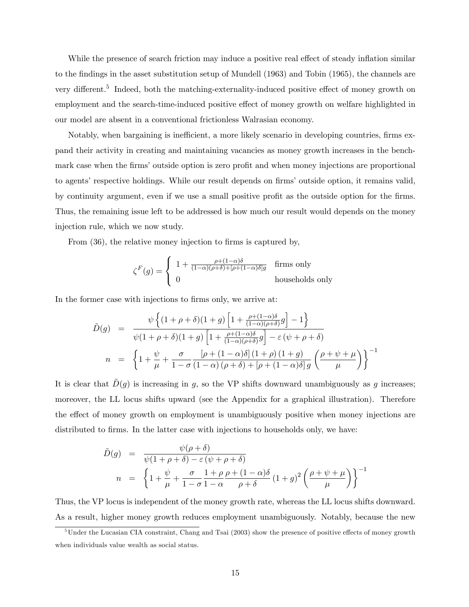While the presence of search friction may induce a positive real effect of steady inflation similar to the Öndings in the asset substitution setup of Mundell (1963) and Tobin (1965), the channels are very different.<sup>5</sup> Indeed, both the matching-externality-induced positive effect of money growth on employment and the search-time-induced positive effect of money growth on welfare highlighted in our model are absent in a conventional frictionless Walrasian economy.

Notably, when bargaining is inefficient, a more likely scenario in developing countries, firms expand their activity in creating and maintaining vacancies as money growth increases in the benchmark case when the firms' outside option is zero profit and when money injections are proportional to agents' respective holdings. While our result depends on firms' outside option, it remains valid, by continuity argument, even if we use a small positive profit as the outside option for the firms. Thus, the remaining issue left to be addressed is how much our result would depends on the money injection rule, which we now study.

From (36), the relative money injection to firms is captured by,

$$
\zeta^{F}(g) = \begin{cases} 1 + \frac{\rho + (1-\alpha)\delta}{(1-\alpha)(\rho+\delta) + [\rho + (1-\alpha)\delta]g} & \text{firms only} \\ 0 & \text{households only} \end{cases}
$$

In the former case with injections to firms only, we arrive at:

$$
\tilde{D}(g) = \frac{\psi \left\{ (1+\rho+\delta)(1+g) \left[ 1 + \frac{\rho+(1-\alpha)\delta}{(1-\alpha)(\rho+\delta)}g \right] - 1 \right\}}{\psi(1+\rho+\delta)(1+g) \left[ 1 + \frac{\rho+(1-\alpha)\delta}{(1-\alpha)(\rho+\delta)}g \right] - \varepsilon (\psi+\rho+\delta)}
$$
\n
$$
n = \left\{ 1 + \frac{\psi}{\mu} + \frac{\sigma}{1-\sigma} \frac{\left[ \rho+(1-\alpha)\delta \right](1+\rho) (1+g)}{\left(1-\alpha\right)(\rho+\delta) + \left[ \rho+(1-\alpha)\delta \right]g} \left( \frac{\rho+\psi+\mu}{\mu} \right) \right\}^{-1}
$$

It is clear that  $D(g)$  is increasing in g, so the VP shifts downward unambiguously as g increases; moreover, the LL locus shifts upward (see the Appendix for a graphical illustration). Therefore the effect of money growth on employment is unambiguously positive when money injections are distributed to firms. In the latter case with injections to households only, we have:

$$
\tilde{D}(g) = \frac{\psi(\rho + \delta)}{\psi(1 + \rho + \delta) - \varepsilon(\psi + \rho + \delta)}
$$
\n
$$
n = \left\{ 1 + \frac{\psi}{\mu} + \frac{\sigma}{1 - \sigma} \frac{1 + \rho \rho + (1 - \alpha)\delta}{1 - \alpha} (1 + g)^2 \left( \frac{\rho + \psi + \mu}{\mu} \right) \right\}^{-1}
$$

Thus, the VP locus is independent of the money growth rate, whereas the LL locus shifts downward. As a result, higher money growth reduces employment unambiguously. Notably, because the new

 ${}^{5}$ Under the Lucasian CIA constraint, Chang and Tsai (2003) show the presence of positive effects of money growth when individuals value wealth as social status.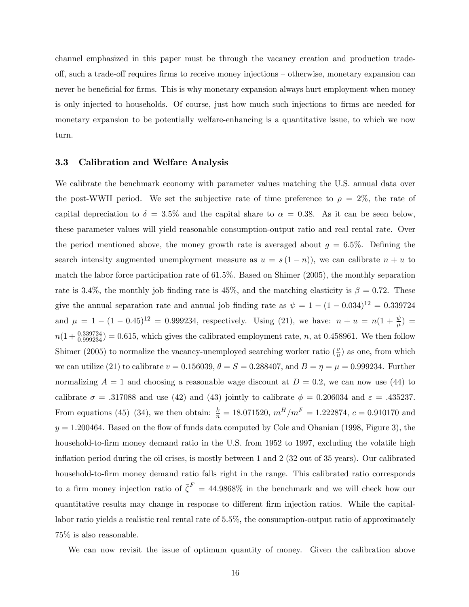channel emphasized in this paper must be through the vacancy creation and production tradeoff, such a trade-off requires firms to receive money injections – otherwise, monetary expansion can never be beneficial for firms. This is why monetary expansion always hurt employment when money is only injected to households. Of course, just how much such injections to firms are needed for monetary expansion to be potentially welfare-enhancing is a quantitative issue, to which we now turn.

### 3.3 Calibration and Welfare Analysis

We calibrate the benchmark economy with parameter values matching the U.S. annual data over the post-WWII period. We set the subjective rate of time preference to  $\rho = 2\%$ , the rate of capital depreciation to  $\delta = 3.5\%$  and the capital share to  $\alpha = 0.38$ . As it can be seen below, these parameter values will yield reasonable consumption-output ratio and real rental rate. Over the period mentioned above, the money growth rate is averaged about  $g = 6.5\%$ . Defining the search intensity augmented unemployment measure as  $u = s(1 - n)$ , we can calibrate  $n + u$  to match the labor force participation rate of 61:5%. Based on Shimer (2005), the monthly separation rate is 3.4%, the monthly job finding rate is 45%, and the matching elasticity is  $\beta = 0.72$ . These give the annual separation rate and annual job finding rate as  $\psi = 1 - (1 - 0.034)^{12} = 0.339724$ and  $\mu = 1 - (1 - 0.45)^{12} = 0.999234$ , respectively. Using (21), we have:  $n + u = n(1 + \frac{\psi}{\mu}) =$  $n(1+\frac{0.339724}{0.999234})=0.615$ , which gives the calibrated employment rate, n, at 0.458961. We then follow Shimer (2005) to normalize the vacancy-unemployed searching worker ratio  $(\frac{v}{u})$  as one, from which we can utilize (21) to calibrate  $v = 0.156039$ ,  $\theta = S = 0.288407$ , and  $B = \eta = \mu = 0.999234$ . Further normalizing  $A = 1$  and choosing a reasonable wage discount at  $D = 0.2$ , we can now use (44) to calibrate  $\sigma = .317088$  and use (42) and (43) jointly to calibrate  $\phi = 0.206034$  and  $\varepsilon = .435237$ . From equations (45)–(34), we then obtain:  $\frac{k}{n} = 18.071520$ ,  $m^H/m^F = 1.222874$ ,  $c = 0.910170$  and  $y = 1.200464$ . Based on the flow of funds data computed by Cole and Ohanian (1998, Figure 3), the household-to-firm money demand ratio in the U.S. from 1952 to 1997, excluding the volatile high inflation period during the oil crises, is mostly between 1 and 2 (32 out of 35 years). Our calibrated household-to-firm money demand ratio falls right in the range. This calibrated ratio corresponds to a firm money injection ratio of  $\overline{\zeta}^F = 44.9868\%$  in the benchmark and we will check how our quantitative results may change in response to different firm injection ratios. While the capitallabor ratio yields a realistic real rental rate of 5:5%, the consumption-output ratio of approximately 75% is also reasonable.

We can now revisit the issue of optimum quantity of money. Given the calibration above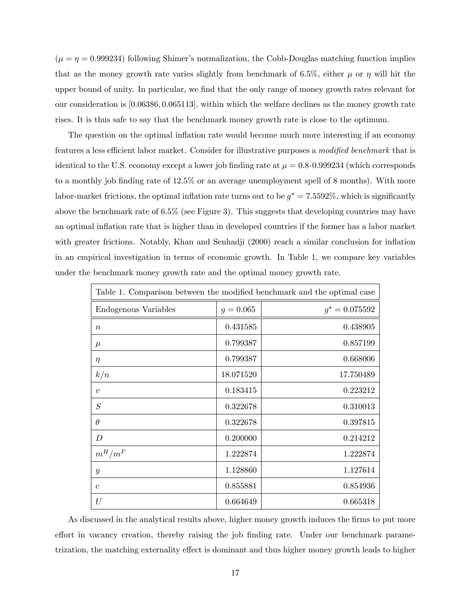$(\mu = \eta = 0.999234)$  following Shimer's normalization, the Cobb-Douglas matching function implies that as the money growth rate varies slightly from benchmark of 6.5%, either  $\mu$  or  $\eta$  will hit the upper bound of unity. In particular, we find that the only range of money growth rates relevant for our consideration is [0:06386; 0:065113], within which the welfare declines as the money growth rate rises. It is thus safe to say that the benchmark money growth rate is close to the optimum.

The question on the optimal inflation rate would become much more interesting if an economy features a less efficient labor market. Consider for illustrative purposes a modified benchmark that is identical to the U.S. economy except a lower job finding rate at  $\mu = 0.8 \cdot 0.999234$  (which corresponds to a monthly job finding rate of 12.5% or an average unemployment spell of 8 months). With more labor-market frictions, the optimal inflation rate turns out to be  $g^* = 7.5592\%$ , which is significantly above the benchmark rate of 6:5% (see Figure 3). This suggests that developing countries may have an optimal inflation rate that is higher than in developed countries if the former has a labor market with greater frictions. Notably, Khan and Senhadji (2000) reach a similar conclusion for inflation in an empirical investigation in terms of economic growth. In Table 1, we compare key variables under the benchmark money growth rate and the optimal money growth rate.

| Table 1. Comparison between the modified benchmark and the optimal case |             |                  |
|-------------------------------------------------------------------------|-------------|------------------|
| Endogenous Variables                                                    | $g = 0.065$ | $g^* = 0.075592$ |
| $\boldsymbol{n}$                                                        | 0.431585    | 0.438905         |
| $\mu$                                                                   | 0.799387    | 0.857199         |
| $\eta$                                                                  | 0.799387    | 0.668006         |
| k/n                                                                     | 18.071520   | 17.750489        |
| $\boldsymbol{v}$                                                        | 0.183415    | 0.223212         |
| S                                                                       | 0.322678    | 0.310013         |
| $\theta$                                                                | 0.322678    | 0.397815         |
| D                                                                       | 0.200000    | 0.214212         |
| $m^H/m^F$                                                               | 1.222874    | 1.222874         |
| $\mathcal{Y}$                                                           | 1.128860    | 1.127614         |
| $\mathfrak{c}$                                                          | 0.855881    | 0.854936         |
| U                                                                       | 0.664649    | 0.665318         |

As discussed in the analytical results above, higher money growth induces the firms to put more effort in vacancy creation, thereby raising the job finding rate. Under our benchmark parametrization, the matching externality effect is dominant and thus higher money growth leads to higher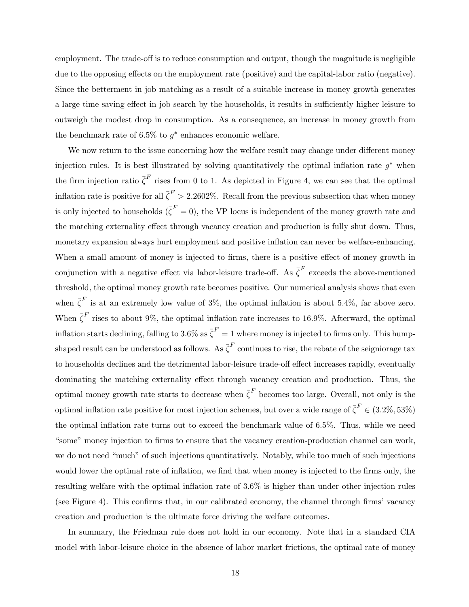employment. The trade-off is to reduce consumption and output, though the magnitude is negligible due to the opposing effects on the employment rate (positive) and the capital-labor ratio (negative). Since the betterment in job matching as a result of a suitable increase in money growth generates a large time saving effect in job search by the households, it results in sufficiently higher leisure to outweigh the modest drop in consumption. As a consequence, an increase in money growth from the benchmark rate of 6.5% to  $g^*$  enhances economic welfare.

We now return to the issue concerning how the welfare result may change under different money injection rules. It is best illustrated by solving quantitatively the optimal inflation rate  $g^*$  when the firm injection ratio  $\bar{\zeta}^F$  rises from 0 to 1. As depicted in Figure 4, we can see that the optimal inflation rate is positive for all  $\bar{\zeta}^F > 2.2602\%$ . Recall from the previous subsection that when money is only injected to households  $(\bar{\zeta}^F = 0)$ , the VP locus is independent of the money growth rate and the matching externality effect through vacancy creation and production is fully shut down. Thus, monetary expansion always hurt employment and positive inflation can never be welfare-enhancing. When a small amount of money is injected to firms, there is a positive effect of money growth in conjunction with a negative effect via labor-leisure trade-off. As  $\bar{\zeta}^F$  exceeds the above-mentioned threshold, the optimal money growth rate becomes positive. Our numerical analysis shows that even when  $\bar{\zeta}^F$  is at an extremely low value of 3%, the optimal inflation is about 5.4%, far above zero. When  $\bar{\zeta}^F$  rises to about 9%, the optimal inflation rate increases to 16.9%. Afterward, the optimal inflation starts declining, falling to 3.6% as  $\bar{\zeta}^F = 1$  where money is injected to firms only. This humpshaped result can be understood as follows. As  $\bar{\zeta}^F$  continues to rise, the rebate of the seigniorage tax to households declines and the detrimental labor-leisure trade-off effect increases rapidly, eventually dominating the matching externality effect through vacancy creation and production. Thus, the optimal money growth rate starts to decrease when  $\bar{\zeta}^F$  becomes too large. Overall, not only is the optimal inflation rate positive for most injection schemes, but over a wide range of  $\bar{\zeta}^F \in (3.2\%, 53\%)$ the optimal inflation rate turns out to exceed the benchmark value of  $6.5\%$ . Thus, while we need ìsomeî money injection to Örms to ensure that the vacancy creation-production channel can work, we do not need "much" of such injections quantitatively. Notably, while too much of such injections would lower the optimal rate of inflation, we find that when money is injected to the firms only, the resulting welfare with the optimal inflation rate of  $3.6\%$  is higher than under other injection rules (see Figure 4). This confirms that, in our calibrated economy, the channel through firms' vacancy creation and production is the ultimate force driving the welfare outcomes.

In summary, the Friedman rule does not hold in our economy. Note that in a standard CIA model with labor-leisure choice in the absence of labor market frictions, the optimal rate of money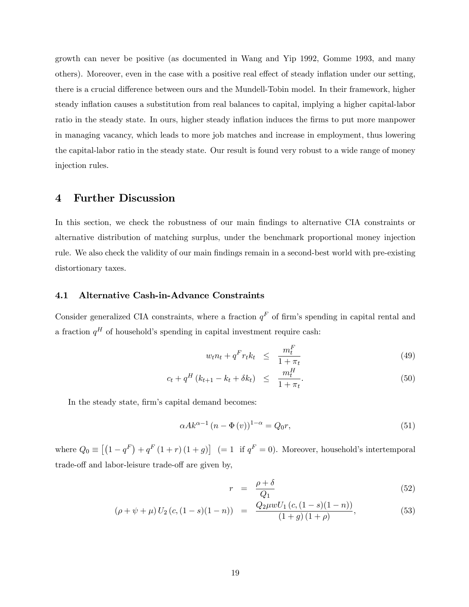growth can never be positive (as documented in Wang and Yip 1992, Gomme 1993, and many others). Moreover, even in the case with a positive real effect of steady inflation under our setting, there is a crucial difference between ours and the Mundell-Tobin model. In their framework, higher steady inflation causes a substitution from real balances to capital, implying a higher capital-labor ratio in the steady state. In ours, higher steady inflation induces the firms to put more manpower in managing vacancy, which leads to more job matches and increase in employment, thus lowering the capital-labor ratio in the steady state. Our result is found very robust to a wide range of money injection rules.

## 4 Further Discussion

In this section, we check the robustness of our main findings to alternative CIA constraints or alternative distribution of matching surplus, under the benchmark proportional money injection rule. We also check the validity of our main findings remain in a second-best world with pre-existing distortionary taxes.

## 4.1 Alternative Cash-in-Advance Constraints

Consider generalized CIA constraints, where a fraction  $q<sup>F</sup>$  of firm's spending in capital rental and a fraction  $q^H$  of household's spending in capital investment require cash:

$$
w_t n_t + q^F r_t k_t \leq \frac{m_t^F}{1 + \pi_t} \tag{49}
$$

$$
c_t + q^H (k_{t+1} - k_t + \delta k_t) \leq \frac{m_t^H}{1 + \pi_t}.
$$
 (50)

In the steady state, firm's capital demand becomes:

$$
\alpha A k^{\alpha - 1} \left( n - \Phi \left( v \right) \right)^{1 - \alpha} = Q_0 r,\tag{51}
$$

where  $Q_0 \equiv \left[ \left(1 - q^F\right) + q^F\left(1 + r\right) \left(1 + g\right) \right]$  (= 1 if  $q^F = 0$ ). Moreover, household's intertemporal trade-off and labor-leisure trade-off are given by,

$$
r = \frac{\rho + \delta}{Q_1} \tag{52}
$$

$$
(\rho + \psi + \mu) U_2 (c, (1 - s)(1 - n)) = \frac{Q_2 \mu w U_1 (c, (1 - s)(1 - n))}{(1 + g)(1 + \rho)}, \tag{53}
$$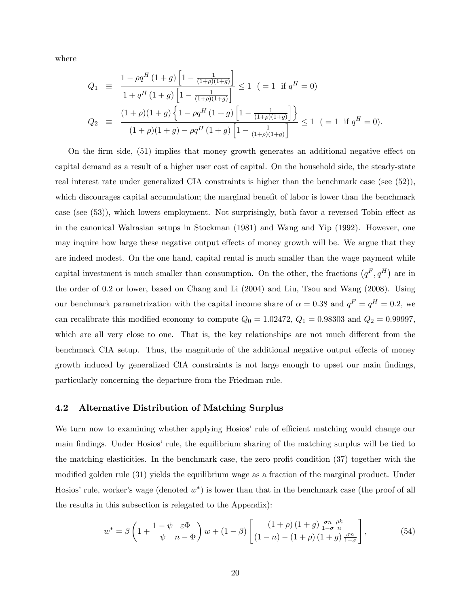where

$$
Q_1 \equiv \frac{1 - \rho q^H (1 + g) \left[ 1 - \frac{1}{(1 + \rho)(1 + g)} \right]}{1 + q^H (1 + g) \left[ 1 - \frac{1}{(1 + \rho)(1 + g)} \right]} \le 1 \quad (= 1 \text{ if } q^H = 0)
$$
  

$$
Q_2 \equiv \frac{(1 + \rho)(1 + g) \left\{ 1 - \rho q^H (1 + g) \left[ 1 - \frac{1}{(1 + \rho)(1 + g)} \right] \right\}}{(1 + \rho)(1 + g) - \rho q^H (1 + g) \left[ 1 - \frac{1}{(1 + \rho)(1 + g)} \right]} \le 1 \quad (= 1 \text{ if } q^H = 0).
$$

On the firm side, (51) implies that money growth generates an additional negative effect on capital demand as a result of a higher user cost of capital. On the household side, the steady-state real interest rate under generalized CIA constraints is higher than the benchmark case (see (52)), which discourages capital accumulation; the marginal benefit of labor is lower than the benchmark case (see  $(53)$ ), which lowers employment. Not surprisingly, both favor a reversed Tobin effect as in the canonical Walrasian setups in Stockman (1981) and Wang and Yip (1992). However, one may inquire how large these negative output effects of money growth will be. We argue that they are indeed modest. On the one hand, capital rental is much smaller than the wage payment while capital investment is much smaller than consumption. On the other, the fractions  $(q^F, q^H)$  are in the order of 0:2 or lower, based on Chang and Li (2004) and Liu, Tsou and Wang (2008). Using our benchmark parametrization with the capital income share of  $\alpha = 0.38$  and  $q^F = q^H = 0.2$ , we can recalibrate this modified economy to compute  $Q_0 = 1.02472$ ,  $Q_1 = 0.98303$  and  $Q_2 = 0.99997$ , which are all very close to one. That is, the key relationships are not much different from the benchmark CIA setup. Thus, the magnitude of the additional negative output effects of money growth induced by generalized CIA constraints is not large enough to upset our main Öndings, particularly concerning the departure from the Friedman rule.

## 4.2 Alternative Distribution of Matching Surplus

We turn now to examining whether applying Hosios' rule of efficient matching would change our main findings. Under Hosios' rule, the equilibrium sharing of the matching surplus will be tied to the matching elasticities. In the benchmark case, the zero profit condition  $(37)$  together with the modified golden rule (31) yields the equilibrium wage as a fraction of the marginal product. Under Hosios' rule, worker's wage (denoted  $w^*$ ) is lower than that in the benchmark case (the proof of all the results in this subsection is relegated to the Appendix):

$$
w^* = \beta \left( 1 + \frac{1 - \psi}{\psi} \frac{\varepsilon \Phi}{n - \Phi} \right) w + (1 - \beta) \left[ \frac{\left( 1 + \rho \right) \left( 1 + g \right) \frac{\sigma n}{1 - \sigma} \frac{\rho k}{n}}{\left( 1 - n \right) - \left( 1 + \rho \right) \left( 1 + g \right) \frac{\sigma n}{1 - \sigma}} \right],\tag{54}
$$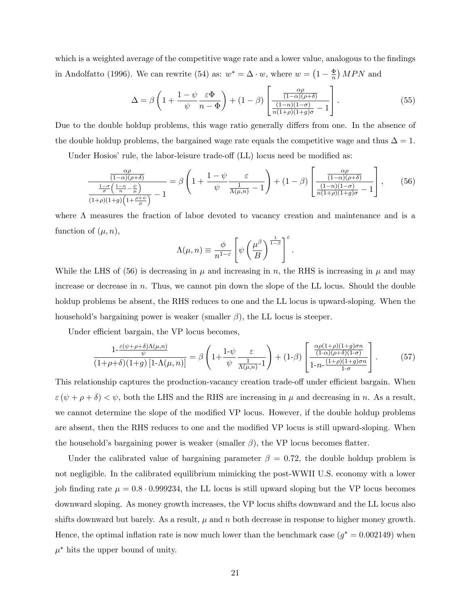which is a weighted average of the competitive wage rate and a lower value, analogous to the findings in Andolfatto (1996). We can rewrite (54) as:  $w^* = \Delta \cdot w$ , where  $w = \left(1 - \frac{\Phi}{n}\right)$  $\frac{\Phi}{n}$ ) MPN and

$$
\Delta = \beta \left( 1 + \frac{1 - \psi \varepsilon \Phi}{\psi n - \Phi} \right) + (1 - \beta) \left[ \frac{\frac{\alpha \rho}{(1 - \alpha)(\rho + \delta)}}{\frac{(1 - n)(1 - \sigma)}{n(1 + \rho)(1 + g)\sigma} - 1} \right].
$$
\n(55)

.

Due to the double holdup problems, this wage ratio generally differs from one. In the absence of the double holdup problems, the bargained wage rate equals the competitive wage and thus  $\Delta = 1$ .

Under Hosios' rule, the labor-leisure trade-off (LL) locus need be modified as:

$$
\frac{\frac{\alpha\rho}{(1-\alpha)(\rho+\delta)}}{\frac{1-\sigma}{\sigma}\left(\frac{1-n}{n}-\frac{\psi}{\mu}\right)} = \beta\left(1+\frac{1-\psi}{\psi}\frac{\varepsilon}{\frac{1}{\Lambda(\mu,n)}-1}\right) + (1-\beta)\left[\frac{\frac{\alpha\rho}{(1-\alpha)(\rho+\delta)}}{\frac{(1-n)(1-\sigma)}{n(1+\rho)(1+g)\sigma}-1}\right],\qquad(56)
$$

where  $\Lambda$  measures the fraction of labor devoted to vacancy creation and maintenance and is a function of  $(\mu, n)$ ,

$$
\Lambda(\mu, n) \equiv \frac{\phi}{n^{1-\varepsilon}} \left[ \psi \left( \frac{\mu^{\beta}}{B} \right)^{\frac{1}{1-\beta}} \right]^{\varepsilon}
$$

While the LHS of (56) is decreasing in  $\mu$  and increasing in n, the RHS is increasing in  $\mu$  and may increase or decrease in n. Thus, we cannot pin down the slope of the LL locus. Should the double holdup problems be absent, the RHS reduces to one and the LL locus is upward-sloping. When the household's bargaining power is weaker (smaller  $\beta$ ), the LL locus is steeper.

Under efficient bargain, the VP locus becomes,

$$
\frac{1^{-\varepsilon(\psi+\rho+\delta)\Lambda(\mu,n)}}{(1+\rho+\delta)(1+g)\left[1-\Lambda(\mu,n)\right]} = \beta\left(1+\frac{1-\psi}{\psi}\frac{\varepsilon}{\frac{1}{\Lambda(\mu,n)}-1}\right) + (1-\beta)\left[\frac{\frac{\alpha\rho(1+\rho)(1+g)\sigma n}{(1-\alpha)(\rho+\delta)(1-\sigma)}}{1-n-\frac{(1+\rho)(1+g)\sigma n}{1-\sigma}}\right].
$$
\n(57)

This relationship captures the production-vacancy creation trade-off under efficient bargain. When  $\varepsilon (\psi + \rho + \delta) < \psi$ , both the LHS and the RHS are increasing in  $\mu$  and decreasing in n. As a result, we cannot determine the slope of the modified VP locus. However, if the double holdup problems are absent, then the RHS reduces to one and the modified VP locus is still upward-sloping. When the household's bargaining power is weaker (smaller  $\beta$ ), the VP locus becomes flatter.

Under the calibrated value of bargaining parameter  $\beta = 0.72$ , the double holdup problem is not negligible. In the calibrated equilibrium mimicking the post-WWII U.S. economy with a lower job finding rate  $\mu = 0.8 \cdot 0.999234$ , the LL locus is still upward sloping but the VP locus becomes downward sloping. As money growth increases, the VP locus shifts downward and the LL locus also shifts downward but barely. As a result,  $\mu$  and n both decrease in response to higher money growth. Hence, the optimal inflation rate is now much lower than the benchmark case  $(g^* = 0.002149)$  when  $\mu^*$  hits the upper bound of unity.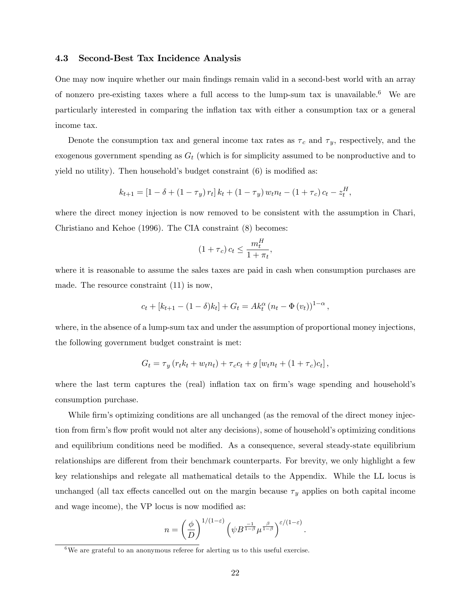## 4.3 Second-Best Tax Incidence Analysis

One may now inquire whether our main Öndings remain valid in a second-best world with an array of nonzero pre-existing taxes where a full access to the lump-sum tax is unavailable.<sup>6</sup> We are particularly interested in comparing the ináation tax with either a consumption tax or a general income tax.

Denote the consumption tax and general income tax rates as  $\tau_c$  and  $\tau_y$ , respectively, and the exogenous government spending as  $G_t$  (which is for simplicity assumed to be nonproductive and to yield no utility). Then household's budget constraint  $(6)$  is modified as:

$$
k_{t+1} = [1 - \delta + (1 - \tau_y) r_t] k_t + (1 - \tau_y) w_t n_t - (1 + \tau_c) c_t - z_t^H,
$$

where the direct money injection is now removed to be consistent with the assumption in Chari, Christiano and Kehoe (1996). The CIA constraint (8) becomes:

$$
(1 + \tau_c) c_t \le \frac{m_t^H}{1 + \pi_t},
$$

where it is reasonable to assume the sales taxes are paid in cash when consumption purchases are made. The resource constraint (11) is now,

$$
c_t + [k_{t+1} - (1 - \delta)k_t] + G_t = Ak_t^{\alpha} (n_t - \Phi(v_t))^{1 - \alpha},
$$

where, in the absence of a lump-sum tax and under the assumption of proportional money injections, the following government budget constraint is met:

$$
G_t = \tau_y (r_t k_t + w_t n_t) + \tau_c c_t + g [w_t n_t + (1 + \tau_c) c_t],
$$

where the last term captures the (real) inflation tax on firm's wage spending and household's consumption purchase.

While firm's optimizing conditions are all unchanged (as the removal of the direct money injection from firm's flow profit would not alter any decisions), some of household's optimizing conditions and equilibrium conditions need be modified. As a consequence, several steady-state equilibrium relationships are different from their benchmark counterparts. For brevity, we only highlight a few key relationships and relegate all mathematical details to the Appendix. While the LL locus is unchanged (all tax effects cancelled out on the margin because  $\tau_y$  applies on both capital income and wage income), the VP locus is now modified as:

$$
n = \left(\frac{\phi}{D}\right)^{1/(1-\varepsilon)} \left(\psi B^{\frac{-1}{1-\beta}} \mu^{\frac{\beta}{1-\beta}}\right)^{\varepsilon/(1-\varepsilon)}.
$$

 $6$ We are grateful to an anonymous referee for alerting us to this useful exercise.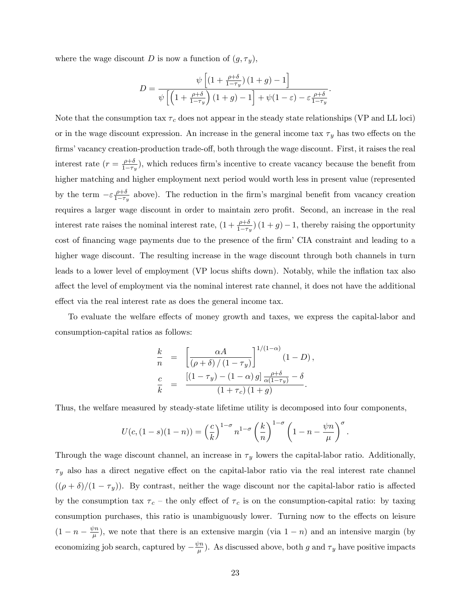where the wage discount D is now a function of  $(g, \tau_y)$ ,

$$
D = \frac{\psi\left[\left(1 + \frac{\rho + \delta}{1 - \tau_y}\right)\left(1 + g\right) - 1\right]}{\psi\left[\left(1 + \frac{\rho + \delta}{1 - \tau_y}\right)\left(1 + g\right) - 1\right] + \psi(1 - \varepsilon) - \varepsilon \frac{\rho + \delta}{1 - \tau_y}}.
$$

Note that the consumption tax  $\tau_c$  does not appear in the steady state relationships (VP and LL loci) or in the wage discount expression. An increase in the general income tax  $\tau_y$  has two effects on the firms' vacancy creation-production trade-off, both through the wage discount. First, it raises the real interest rate  $(r = \frac{\rho + \delta}{1 - \tau_y})$ , which reduces firm's incentive to create vacancy because the benefit from higher matching and higher employment next period would worth less in present value (represented by the term  $-\varepsilon \frac{\rho+\delta}{1-\tau_y}$  above). The reduction in the firm's marginal benefit from vacancy creation requires a larger wage discount in order to maintain zero profit. Second, an increase in the real interest rate raises the nominal interest rate,  $(1 + \frac{\rho + \delta}{1 - \tau_y}) (1 + g) - 1$ , thereby raising the opportunity cost of financing wage payments due to the presence of the firm' CIA constraint and leading to a higher wage discount. The resulting increase in the wage discount through both channels in turn leads to a lower level of employment (VP locus shifts down). Notably, while the inflation tax also affect the level of employment via the nominal interest rate channel, it does not have the additional effect via the real interest rate as does the general income tax.

To evaluate the welfare effects of money growth and taxes, we express the capital-labor and consumption-capital ratios as follows:

$$
\frac{k}{n} = \left[ \frac{\alpha A}{(\rho + \delta) / (1 - \tau_y)} \right]^{1/(1 - \alpha)} (1 - D),
$$
\n
$$
\frac{c}{k} = \frac{\left[ (1 - \tau_y) - (1 - \alpha) g \right] \frac{\rho + \delta}{\alpha (1 - \tau_y)} - \delta}{(1 + \tau_c) (1 + g)}.
$$

Thus, the welfare measured by steady-state lifetime utility is decomposed into four components,

$$
U(c, (1-s)(1-n)) = \left(\frac{c}{k}\right)^{1-\sigma} n^{1-\sigma} \left(\frac{k}{n}\right)^{1-\sigma} \left(1-n-\frac{\psi n}{\mu}\right)^{\sigma}.
$$

Through the wage discount channel, an increase in  $\tau_y$  lowers the capital-labor ratio. Additionally,  $\tau_y$  also has a direct negative effect on the capital-labor ratio via the real interest rate channel  $((\rho + \delta)/(1 - \tau_y))$ . By contrast, neither the wage discount nor the capital-labor ratio is affected by the consumption tax  $\tau_c$  – the only effect of  $\tau_c$  is on the consumption-capital ratio: by taxing consumption purchases, this ratio is unambiguously lower. Turning now to the effects on leisure  $\left(1-n-\frac{\psi n}{\mu}\right)$  $(\frac{\partial n}{\mu})$ , we note that there is an extensive margin (via  $1 - n$ ) and an intensive margin (by economizing job search, captured by  $-\frac{\psi n}{\mu}$  $(\frac{\partial n}{\mu})$ . As discussed above, both g and  $\tau_y$  have positive impacts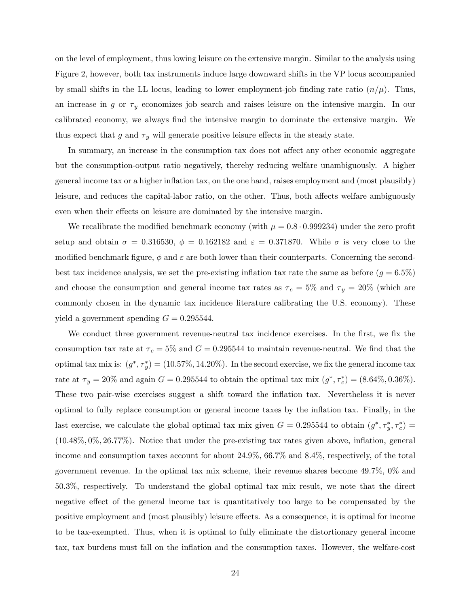on the level of employment, thus lowing leisure on the extensive margin. Similar to the analysis using Figure 2, however, both tax instruments induce large downward shifts in the VP locus accompanied by small shifts in the LL locus, leading to lower employment-job finding rate ratio  $(n/\mu)$ . Thus, an increase in  $g$  or  $\tau_y$  economizes job search and raises leisure on the intensive margin. In our calibrated economy, we always find the intensive margin to dominate the extensive margin. We thus expect that g and  $\tau_y$  will generate positive leisure effects in the steady state.

In summary, an increase in the consumption tax does not affect any other economic aggregate but the consumption-output ratio negatively, thereby reducing welfare unambiguously. A higher general income tax or a higher inflation tax, on the one hand, raises employment and (most plausibly) leisure, and reduces the capital-labor ratio, on the other. Thus, both affects welfare ambiguously even when their effects on leisure are dominated by the intensive margin.

We recalibrate the modified benchmark economy (with  $\mu = 0.8 \cdot 0.999234$ ) under the zero profit setup and obtain  $\sigma = 0.316530$ ,  $\phi = 0.162182$  and  $\varepsilon = 0.371870$ . While  $\sigma$  is very close to the modified benchmark figure,  $\phi$  and  $\varepsilon$  are both lower than their counterparts. Concerning the secondbest tax incidence analysis, we set the pre-existing inflation tax rate the same as before  $(g = 6.5\%)$ and choose the consumption and general income tax rates as  $\tau_c = 5\%$  and  $\tau_y = 20\%$  (which are commonly chosen in the dynamic tax incidence literature calibrating the U.S. economy). These yield a government spending  $G = 0.295544$ .

We conduct three government revenue-neutral tax incidence exercises. In the first, we fix the consumption tax rate at  $\tau_c = 5\%$  and  $G = 0.295544$  to maintain revenue-neutral. We find that the optimal tax mix is:  $(g^*, \tau_y^*) = (10.57\%, 14.20\%).$  In the second exercise, we fix the general income tax rate at  $\tau_y = 20\%$  and again  $G = 0.295544$  to obtain the optimal tax mix  $(g^*, \tau_c^*) = (8.64\%, 0.36\%).$ These two pair-wise exercises suggest a shift toward the inflation tax. Nevertheless it is never optimal to fully replace consumption or general income taxes by the ináation tax. Finally, in the last exercise, we calculate the global optimal tax mix given  $G = 0.295544$  to obtain  $(g^*, \tau^*_y, \tau^*_c)$  $(10.48\%, 0\%, 26.77\%)$ . Notice that under the pre-existing tax rates given above, inflation, general income and consumption taxes account for about 24:9%, 66:7% and 8:4%, respectively, of the total government revenue. In the optimal tax mix scheme, their revenue shares become 49:7%, 0% and 50:3%, respectively. To understand the global optimal tax mix result, we note that the direct negative effect of the general income tax is quantitatively too large to be compensated by the positive employment and (most plausibly) leisure effects. As a consequence, it is optimal for income to be tax-exempted. Thus, when it is optimal to fully eliminate the distortionary general income tax, tax burdens must fall on the ináation and the consumption taxes. However, the welfare-cost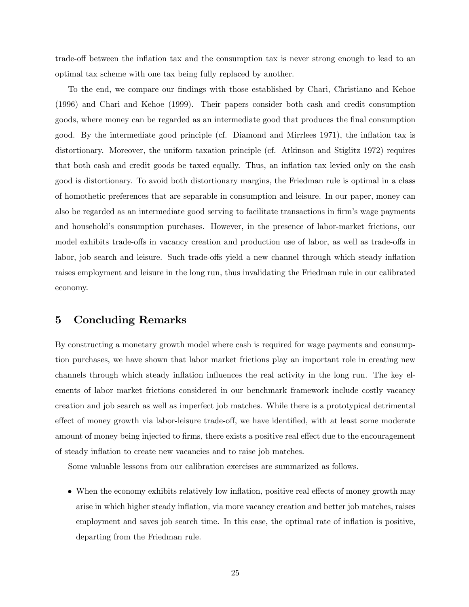trade-off between the inflation tax and the consumption tax is never strong enough to lead to an optimal tax scheme with one tax being fully replaced by another.

To the end, we compare our findings with those established by Chari, Christiano and Kehoe (1996) and Chari and Kehoe (1999). Their papers consider both cash and credit consumption goods, where money can be regarded as an intermediate good that produces the final consumption good. By the intermediate good principle (cf. Diamond and Mirrlees 1971), the inflation tax is distortionary. Moreover, the uniform taxation principle (cf. Atkinson and Stiglitz 1972) requires that both cash and credit goods be taxed equally. Thus, an inflation tax levied only on the cash good is distortionary. To avoid both distortionary margins, the Friedman rule is optimal in a class of homothetic preferences that are separable in consumption and leisure. In our paper, money can also be regarded as an intermediate good serving to facilitate transactions in firm's wage payments and household's consumption purchases. However, in the presence of labor-market frictions, our model exhibits trade-offs in vacancy creation and production use of labor, as well as trade-offs in labor, job search and leisure. Such trade-offs yield a new channel through which steady inflation raises employment and leisure in the long run, thus invalidating the Friedman rule in our calibrated economy.

# 5 Concluding Remarks

By constructing a monetary growth model where cash is required for wage payments and consumption purchases, we have shown that labor market frictions play an important role in creating new channels through which steady inflation influences the real activity in the long run. The key elements of labor market frictions considered in our benchmark framework include costly vacancy creation and job search as well as imperfect job matches. While there is a prototypical detrimental effect of money growth via labor-leisure trade-off, we have identified, with at least some moderate amount of money being injected to firms, there exists a positive real effect due to the encouragement of steady inflation to create new vacancies and to raise job matches.

Some valuable lessons from our calibration exercises are summarized as follows.

 $\bullet$  When the economy exhibits relatively low inflation, positive real effects of money growth may arise in which higher steady ináation, via more vacancy creation and better job matches, raises employment and saves job search time. In this case, the optimal rate of inflation is positive, departing from the Friedman rule.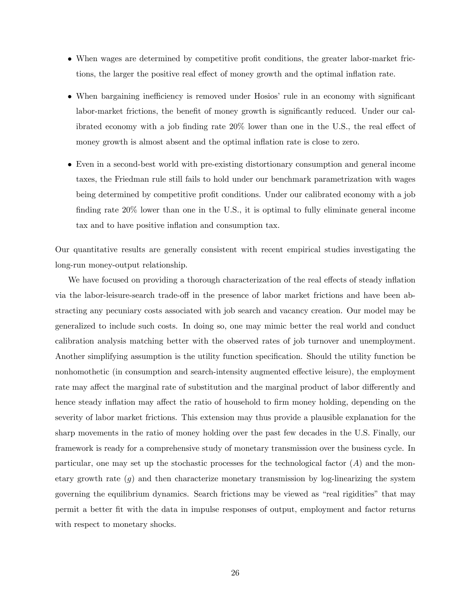- When wages are determined by competitive profit conditions, the greater labor-market frictions, the larger the positive real effect of money growth and the optimal inflation rate.
- When bargaining inefficiency is removed under Hosios' rule in an economy with significant labor-market frictions, the benefit of money growth is significantly reduced. Under our calibrated economy with a job finding rate  $20\%$  lower than one in the U.S., the real effect of money growth is almost absent and the optimal inflation rate is close to zero.
- Even in a second-best world with pre-existing distortionary consumption and general income taxes, the Friedman rule still fails to hold under our benchmark parametrization with wages being determined by competitive profit conditions. Under our calibrated economy with a job finding rate  $20\%$  lower than one in the U.S., it is optimal to fully eliminate general income tax and to have positive inflation and consumption tax.

Our quantitative results are generally consistent with recent empirical studies investigating the long-run money-output relationship.

We have focused on providing a thorough characterization of the real effects of steady inflation via the labor-leisure-search trade-off in the presence of labor market frictions and have been abstracting any pecuniary costs associated with job search and vacancy creation. Our model may be generalized to include such costs. In doing so, one may mimic better the real world and conduct calibration analysis matching better with the observed rates of job turnover and unemployment. Another simplifying assumption is the utility function specification. Should the utility function be nonhomothetic (in consumption and search-intensity augmented effective leisure), the employment rate may affect the marginal rate of substitution and the marginal product of labor differently and hence steady inflation may affect the ratio of household to firm money holding, depending on the severity of labor market frictions. This extension may thus provide a plausible explanation for the sharp movements in the ratio of money holding over the past few decades in the U.S. Finally, our framework is ready for a comprehensive study of monetary transmission over the business cycle. In particular, one may set up the stochastic processes for the technological factor  $(A)$  and the monetary growth rate  $(q)$  and then characterize monetary transmission by log-linearizing the system governing the equilibrium dynamics. Search frictions may be viewed as "real rigidities" that may permit a better Öt with the data in impulse responses of output, employment and factor returns with respect to monetary shocks.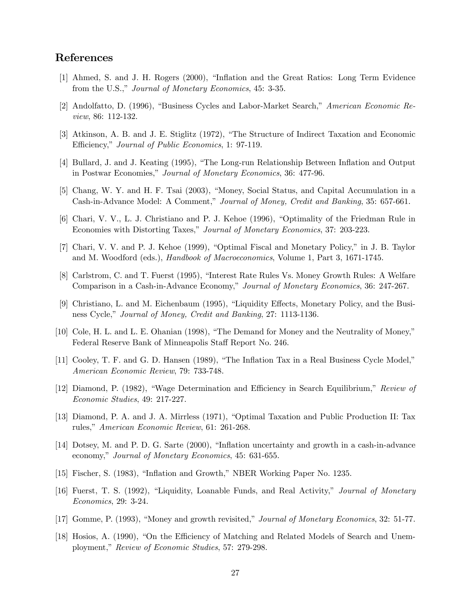# References

- [1] Ahmed, S. and J. H. Rogers (2000), "Inflation and the Great Ratios: Long Term Evidence from the U.S.," Journal of Monetary Economics, 45: 3-35.
- [2] Andolfatto, D. (1996), "Business Cycles and Labor-Market Search," American Economic Review, 86: 112-132.
- [3] Atkinson, A. B. and J. E. Stiglitz (1972), "The Structure of Indirect Taxation and Economic Efficiency," Journal of Public Economics, 1: 97-119.
- [4] Bullard, J. and J. Keating (1995), "The Long-run Relationship Between Inflation and Output in Postwar Economies," Journal of Monetary Economics, 36: 477-96.
- [5] Chang, W. Y. and H. F. Tsai (2003), "Money, Social Status, and Capital Accumulation in a Cash-in-Advance Model: A Comment," Journal of Money, Credit and Banking, 35: 657-661.
- [6] Chari, V. V., L. J. Christiano and P. J. Kehoe (1996), "Optimality of the Friedman Rule in Economies with Distorting Taxes," Journal of Monetary Economics, 37: 203-223.
- [7] Chari, V. V. and P. J. Kehoe (1999), "Optimal Fiscal and Monetary Policy," in J. B. Taylor and M. Woodford (eds.), Handbook of Macroeconomics, Volume 1, Part 3, 1671-1745.
- [8] Carlstrom, C. and T. Fuerst (1995), "Interest Rate Rules Vs. Money Growth Rules: A Welfare Comparison in a Cash-in-Advance Economy," Journal of Monetary Economics, 36: 247-267.
- [9] Christiano, L. and M. Eichenbaum (1995), "Liquidity Effects, Monetary Policy, and the Business Cycle," Journal of Money, Credit and Banking, 27: 1113-1136.
- [10] Cole, H. L. and L. E. Ohanian (1998), "The Demand for Money and the Neutrality of Money," Federal Reserve Bank of Minneapolis Staff Report No. 246.
- [11] Cooley, T. F. and G. D. Hansen (1989), "The Inflation Tax in a Real Business Cycle Model," American Economic Review, 79: 733-748.
- [12] Diamond, P. (1982), "Wage Determination and Efficiency in Search Equilibrium," Review of Economic Studies, 49: 217-227.
- [13] Diamond, P. A. and J. A. Mirrless (1971), "Optimal Taxation and Public Production II: Tax rules," American Economic Review, 61: 261-268.
- [14] Dotsey, M. and P. D. G. Sarte (2000), "Inflation uncertainty and growth in a cash-in-advance economy," Journal of Monetary Economics, 45: 631-655.
- [15] Fischer, S. (1983), "Inflation and Growth," NBER Working Paper No. 1235.
- [16] Fuerst, T. S. (1992), "Liquidity, Loanable Funds, and Real Activity," Journal of Monetary Economics, 29: 3-24.
- [17] Gomme, P. (1993), "Money and growth revisited," *Journal of Monetary Economics*, 32: 51-77.
- [18] Hosios, A. (1990), "On the Efficiency of Matching and Related Models of Search and Unemployment," Review of Economic Studies, 57: 279-298.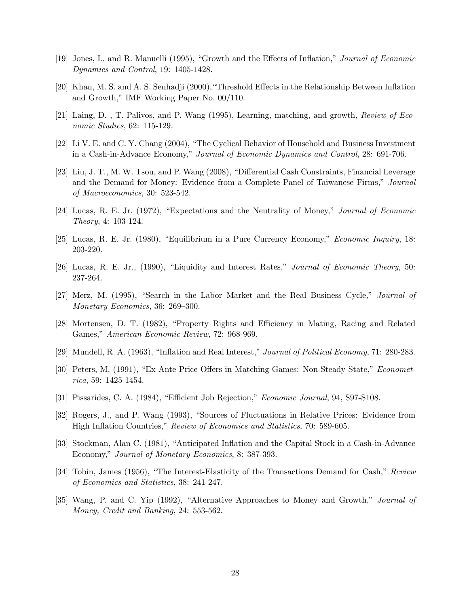- [19] Jones, L. and R. Manuelli (1995), "Growth and the Effects of Inflation," Journal of Economic Dynamics and Control, 19: 1405-1428.
- [20] Khan, M. S. and A. S. Senhadji (2000), "Threshold Effects in the Relationship Between Inflation and Growth," IMF Working Paper No.  $00/110$ .
- [21] Laing, D. , T. Palivos, and P. Wang (1995), Learning, matching, and growth, Review of Economic Studies, 62: 115-129.
- [22] Li V. E. and C. Y. Chang (2004), "The Cyclical Behavior of Household and Business Investment in a Cash-in-Advance Economy," Journal of Economic Dynamics and Control, 28: 691-706.
- [23] Liu, J. T., M. W. Tsou, and P. Wang (2008), "Differential Cash Constraints, Financial Leverage and the Demand for Money: Evidence from a Complete Panel of Taiwanese Firms," Journal of Macroeconomics, 30: 523-542.
- [24] Lucas, R. E. Jr. (1972), "Expectations and the Neutrality of Money," Journal of Economic Theory, 4: 103-124.
- [25] Lucas, R. E. Jr. (1980), "Equilibrium in a Pure Currency Economy," *Economic Inquiry*, 18: 203-220.
- [26] Lucas, R. E. Jr.,  $(1990)$ , "Liquidity and Interest Rates," *Journal of Economic Theory*, 50: 237-264.
- [27] Merz, M. (1995), "Search in the Labor Market and the Real Business Cycle," Journal of Monetary Economics, 36: 269–300.
- [28] Mortensen, D. T. (1982), "Property Rights and Efficiency in Mating, Racing and Related Games," American Economic Review, 72: 968-969.
- [29] Mundell, R. A. (1963), "Inflation and Real Interest," *Journal of Political Economy*, 71: 280-283.
- [30] Peters, M. (1991), "Ex Ante Price Offers in Matching Games: Non-Steady State," Econometrica, 59: 1425-1454.
- [31] Pissarides, C. A. (1984), "Efficient Job Rejection," Economic Journal, 94, S97-S108.
- [32] Rogers, J., and P. Wang (1993), "Sources of Fluctuations in Relative Prices: Evidence from High Inflation Countries," Review of Economics and Statistics, 70: 589-605.
- [33] Stockman, Alan C. (1981), "Anticipated Inflation and the Capital Stock in a Cash-in-Advance Economy," Journal of Monetary Economics, 8: 387-393.
- [34] Tobin, James (1956), "The Interest-Elasticity of the Transactions Demand for Cash," Review of Economics and Statistics, 38: 241-247.
- [35] Wang, P. and C. Yip (1992), "Alternative Approaches to Money and Growth," Journal of Money, Credit and Banking, 24: 553-562.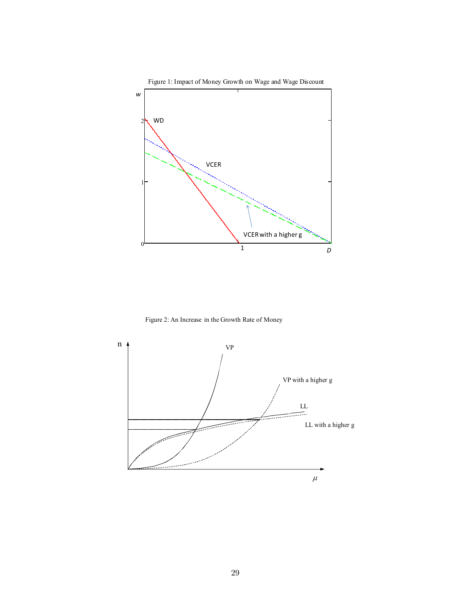

Figure 2: An Increase in the Growth Rate of Money

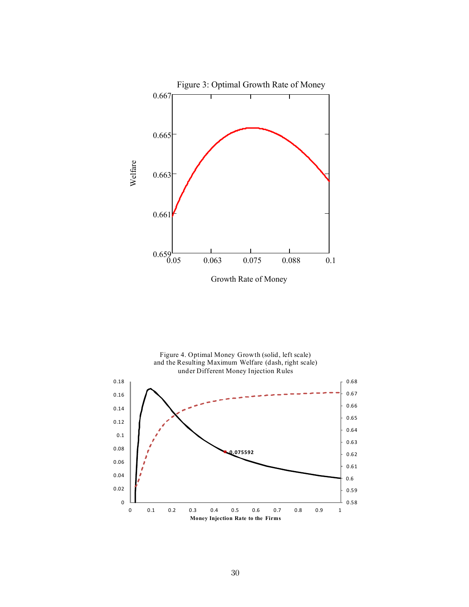

Growth Rate of Money

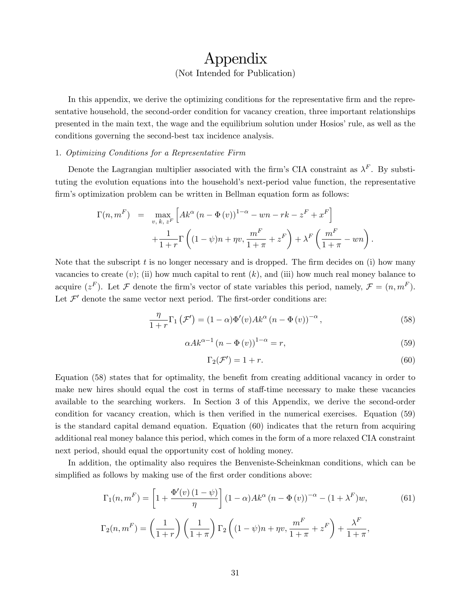# Appendix (Not Intended for Publication)

In this appendix, we derive the optimizing conditions for the representative firm and the representative household, the second-order condition for vacancy creation, three important relationships presented in the main text, the wage and the equilibrium solution under Hosios' rule, as well as the conditions governing the second-best tax incidence analysis.

#### 1. Optimizing Conditions for a Representative Firm

Denote the Lagrangian multiplier associated with the firm's CIA constraint as  $\lambda^F$ . By substituting the evolution equations into the household's next-period value function, the representative firm's optimization problem can be written in Bellman equation form as follows:

$$
\Gamma(n, m^F) = \max_{v, k, z^F} \left[ Ak^{\alpha} (n - \Phi(v))^{1-\alpha} - wn - rk - z^F + x^F \right] + \frac{1}{1+r} \Gamma\left( (1-\psi)n + \eta v, \frac{m^F}{1+\pi} + z^F \right) + \lambda^F \left( \frac{m^F}{1+\pi} - wn \right).
$$

Note that the subscript  $t$  is no longer necessary and is dropped. The firm decides on (i) how many vacancies to create  $(v)$ ; (ii) how much capital to rent  $(k)$ , and (iii) how much real money balance to acquire  $(z^F)$ . Let F denote the firm's vector of state variables this period, namely,  $\mathcal{F} = (n, m^F)$ . Let  $\mathcal{F}'$  denote the same vector next period. The first-order conditions are:

$$
\frac{\eta}{1+r}\Gamma_1(\mathcal{F}') = (1-\alpha)\Phi'(v)Ak^{\alpha}(n-\Phi(v))^{-\alpha},\tag{58}
$$

$$
\alpha Ak^{\alpha - 1} \left( n - \Phi \left( v \right) \right)^{1 - \alpha} = r,\tag{59}
$$

$$
\Gamma_2(\mathcal{F}') = 1 + r. \tag{60}
$$

Equation (58) states that for optimality, the benefit from creating additional vacancy in order to make new hires should equal the cost in terms of staff-time necessary to make these vacancies available to the searching workers. In Section 3 of this Appendix, we derive the second-order condition for vacancy creation, which is then verified in the numerical exercises. Equation  $(59)$ is the standard capital demand equation. Equation (60) indicates that the return from acquiring additional real money balance this period, which comes in the form of a more relaxed CIA constraint next period, should equal the opportunity cost of holding money.

In addition, the optimality also requires the Benveniste-Scheinkman conditions, which can be simplified as follows by making use of the first order conditions above:

$$
\Gamma_1(n, m^F) = \left[1 + \frac{\Phi'(v) (1 - \psi)}{\eta}\right] (1 - \alpha) Ak^{\alpha} (n - \Phi(v))^{-\alpha} - (1 + \lambda^F) w,
$$
(61)  

$$
\Gamma_2(n, m^F) = \left(\frac{1}{1 + r}\right) \left(\frac{1}{1 + \pi}\right) \Gamma_2 \left((1 - \psi)n + \eta v, \frac{m^F}{1 + \pi} + z^F\right) + \frac{\lambda^F}{1 + \pi},
$$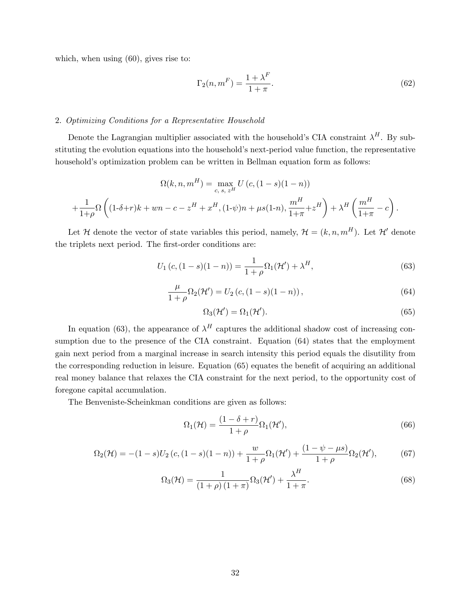which, when using  $(60)$ , gives rise to:

$$
\Gamma_2(n, m^F) = \frac{1 + \lambda^F}{1 + \pi}.
$$
\n
$$
(62)
$$

#### 2. Optimizing Conditions for a Representative Household

Denote the Lagrangian multiplier associated with the household's CIA constraint  $\lambda^H$ . By substituting the evolution equations into the household's next-period value function, the representative household's optimization problem can be written in Bellman equation form as follows:

$$
\Omega(k, n, m^H) = \max_{c, s, z^H} U(c, (1 - s)(1 - n))
$$
  
+ 
$$
\frac{1}{1 + \rho} \Omega\left( (1 - \delta + r)k + wn - c - z^H + x^H, (1 - \psi)n + \mu s(1 - n), \frac{m^H}{1 + \pi} + z^H \right) + \lambda^H \left( \frac{m^H}{1 + \pi} - c \right).
$$

Let H denote the vector of state variables this period, namely,  $\mathcal{H} = (k, n, m^H)$ . Let H' denote the triplets next period. The first-order conditions are:

$$
U_1(c, (1-s)(1-n)) = \frac{1}{1+\rho}\Omega_1(\mathcal{H}') + \lambda^H,
$$
\n(63)

$$
\frac{\mu}{1+\rho}\Omega_2(\mathcal{H}') = U_2(c, (1-s)(1-n)),\tag{64}
$$

$$
\Omega_3(\mathcal{H}') = \Omega_1(\mathcal{H}'). \tag{65}
$$

In equation (63), the appearance of  $\lambda^H$  captures the additional shadow cost of increasing consumption due to the presence of the CIA constraint. Equation  $(64)$  states that the employment gain next period from a marginal increase in search intensity this period equals the disutility from the corresponding reduction in leisure. Equation  $(65)$  equates the benefit of acquiring an additional real money balance that relaxes the CIA constraint for the next period, to the opportunity cost of foregone capital accumulation.

The Benveniste-Scheinkman conditions are given as follows:

$$
\Omega_1(\mathcal{H}) = \frac{(1 - \delta + r)}{1 + \rho} \Omega_1(\mathcal{H}'),\tag{66}
$$

$$
\Omega_2(\mathcal{H}) = -(1-s)U_2(c, (1-s)(1-n)) + \frac{w}{1+\rho}\Omega_1(\mathcal{H}') + \frac{(1-\psi-\mu s)}{1+\rho}\Omega_2(\mathcal{H}'),\tag{67}
$$

$$
\Omega_3(\mathcal{H}) = \frac{1}{(1+\rho)(1+\pi)}\Omega_3(\mathcal{H}') + \frac{\lambda^H}{1+\pi}.
$$
\n(68)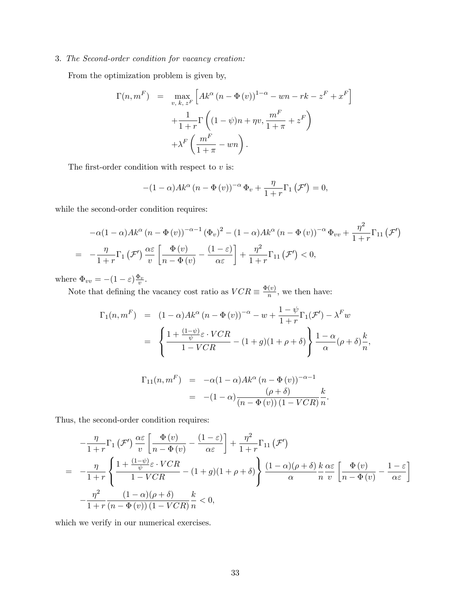## 3. The Second-order condition for vacancy creation:

From the optimization problem is given by,

$$
\Gamma(n, m^F) = \max_{v, k, z^F} \left[ Ak^{\alpha} (n - \Phi(v))^{1-\alpha} - wn - rk - z^F + x^F \right]
$$

$$
+ \frac{1}{1+r} \Gamma\left( (1-\psi)n + \eta v, \frac{m^F}{1+\pi} + z^F \right)
$$

$$
+ \lambda^F \left( \frac{m^F}{1+\pi} - wn \right).
$$

The first-order condition with respect to  $v$  is:

$$
-(1-\alpha)Ak^{\alpha}(n-\Phi(v))^{-\alpha}\Phi_v+\frac{\eta}{1+r}\Gamma_1(\mathcal{F}')=0,
$$

while the second-order condition requires:

$$
-\alpha(1-\alpha)Ak^{\alpha}(n-\Phi(v))^{-\alpha-1}(\Phi_v)^2 - (1-\alpha)Ak^{\alpha}(n-\Phi(v))^{-\alpha}\Phi_{vv} + \frac{\eta^2}{1+r}\Gamma_{11}(\mathcal{F}')
$$
  
= 
$$
-\frac{\eta}{1+r}\Gamma_1(\mathcal{F}')\frac{\alpha\varepsilon}{v}\left[\frac{\Phi(v)}{n-\Phi(v)} - \frac{(1-\varepsilon)}{\alpha\varepsilon}\right] + \frac{\eta^2}{1+r}\Gamma_{11}(\mathcal{F}') < 0,
$$

where  $\Phi_{vv} = -(1 - \varepsilon) \frac{\Phi_v}{v}.$ 

Note that defining the vacancy cost ratio as  $VCR \equiv \frac{\Phi(v)}{n}$  $\frac{(v)}{n}$ , we then have:

$$
\Gamma_1(n, m^F) = (1 - \alpha)Ak^{\alpha}(n - \Phi(v))^{-\alpha} - w + \frac{1 - \psi}{1 + r}\Gamma_1(\mathcal{F}') - \lambda^F w
$$
  
= 
$$
\left\{\frac{1 + \frac{(1 - \psi)}{\psi}\varepsilon \cdot VCR}{1 - VCR} - (1 + g)(1 + \rho + \delta)\right\} \frac{1 - \alpha}{\alpha}(\rho + \delta)\frac{k}{n},
$$

$$
\Gamma_{11}(n, m^F) = -\alpha (1 - \alpha) Ak^{\alpha} (n - \Phi(v))^{-\alpha - 1}
$$

$$
= -(1 - \alpha) \frac{(\rho + \delta)}{(n - \Phi(v))(1 - VCR)} \frac{k}{n}.
$$

Thus, the second-order condition requires:

$$
-\frac{\eta}{1+r}\Gamma_1(\mathcal{F}')\frac{\alpha\varepsilon}{v}\left[\frac{\Phi(v)}{n-\Phi(v)}-\frac{(1-\varepsilon)}{\alpha\varepsilon}\right]+\frac{\eta^2}{1+r}\Gamma_{11}(\mathcal{F}')
$$
  
=\ -
$$
-\frac{\eta}{1+r}\left\{\frac{1+\frac{(1-\psi)}{\psi}\varepsilon\cdot VCR}{1-VCR}-(1+g)(1+\rho+\delta)\right\}\frac{(1-\alpha)(\rho+\delta)}{\alpha}\frac{k}{n}\frac{\alpha\varepsilon}{v}\left[\frac{\Phi(v)}{n-\Phi(v)}-\frac{1-\varepsilon}{\alpha\varepsilon}\right]-\frac{\eta^2}{1+r}\frac{(1-\alpha)(\rho+\delta)}{(n-\Phi(v))(1-VCR)}\frac{k}{n}<0,
$$

which we verify in our numerical exercises.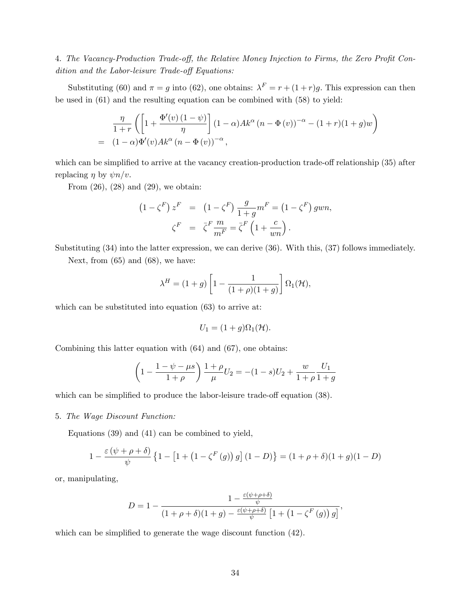# 4. The Vacancy-Production Trade-off, the Relative Money Injection to Firms, the Zero Profit Con $dition$  and the Labor-leisure Trade-off Equations:

Substituting (60) and  $\pi = g$  into (62), one obtains:  $\lambda^F = r + (1+r)g$ . This expression can then be used in (61) and the resulting equation can be combined with (58) to yield:

$$
\frac{\eta}{1+r} \left( \left[ 1 + \frac{\Phi'(v) (1-\psi)}{\eta} \right] (1-\alpha) Ak^{\alpha} (n-\Phi(v))^{-\alpha} - (1+r)(1+g)w \right)
$$
  
=  $(1-\alpha)\Phi'(v) Ak^{\alpha} (n-\Phi(v))^{-\alpha},$ 

which can be simplified to arrive at the vacancy creation-production trade-off relationship (35) after replacing  $\eta$  by  $\psi n/v$ .

From  $(26)$ ,  $(28)$  and  $(29)$ , we obtain:

$$
(1 - \zeta^F) z^F = (1 - \zeta^F) \frac{g}{1 + g} m^F = (1 - \zeta^F) g w n,
$$
  

$$
\zeta^F = \overline{\zeta}^F \frac{m}{m^F} = \overline{\zeta}^F \left( 1 + \frac{c}{w n} \right).
$$

Substituting (34) into the latter expression, we can derive (36). With this, (37) follows immediately.

Next, from  $(65)$  and  $(68)$ , we have:

$$
\lambda^H = (1+g)\left[1-\frac{1}{(1+\rho)(1+g)}\right]\Omega_1(\mathcal{H}),
$$

which can be substituted into equation  $(63)$  to arrive at:

$$
U_1=(1+g)\Omega_1(\mathcal{H}).
$$

Combining this latter equation with (64) and (67), one obtains:

$$
\left(1 - \frac{1 - \psi - \mu s}{1 + \rho}\right) \frac{1 + \rho}{\mu} U_2 = -(1 - s)U_2 + \frac{w}{1 + \rho} \frac{U_1}{1 + g}
$$

which can be simplified to produce the labor-leisure trade-off equation  $(38)$ .

### 5. The Wage Discount Function:

Equations (39) and (41) can be combined to yield,

$$
1 - \frac{\varepsilon(\psi + \rho + \delta)}{\psi} \left\{ 1 - \left[ 1 + \left( 1 - \zeta^F(g) \right) g \right] (1 - D) \right\} = (1 + \rho + \delta)(1 + g)(1 - D)
$$

or, manipulating,

$$
D = 1 - \frac{1 - \frac{\varepsilon(\psi + \rho + \delta)}{\psi}}{(1 + \rho + \delta)(1 + g) - \frac{\varepsilon(\psi + \rho + \delta)}{\psi} \left[1 + \left(1 - \zeta^F(g)\right)g\right]},
$$

which can be simplified to generate the wage discount function  $(42)$ .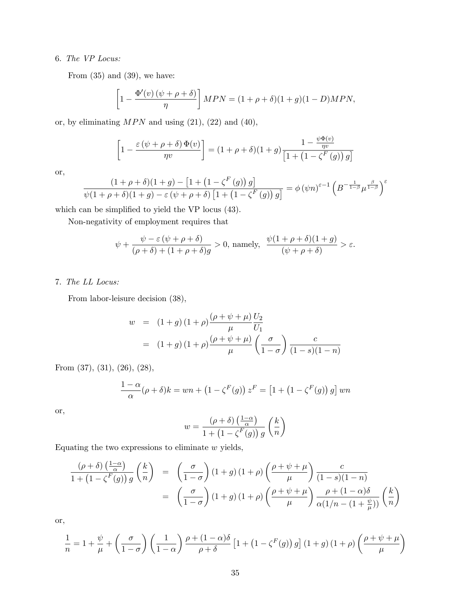## 6. The VP Locus:

From  $(35)$  and  $(39)$ , we have:

$$
\[1 - \frac{\Phi'(v)(\psi + \rho + \delta)}{\eta}\] \, MPN = (1 + \rho + \delta)(1 + g)(1 - D) \, MPN,
$$

or, by eliminating  $MPN$  and using  $(21)$ ,  $(22)$  and  $(40)$ ,

$$
\[1 - \frac{\varepsilon(\psi + \rho + \delta) \Phi(v)}{\eta v}\] = (1 + \rho + \delta)(1 + g) \frac{1 - \frac{\psi \Phi(v)}{\eta v}}{\left[1 + \left(1 - \zeta^F(g)\right)g\right]}
$$

or,

$$
\frac{(1+\rho+\delta)(1+g)-\left[1+\left(1-\zeta^F\left(g\right)\right)g\right]}{\psi(1+\rho+\delta)(1+g)-\varepsilon(\psi+\rho+\delta)\left[1+\left(1-\zeta^F\left(g\right)\right)g\right]}=\phi\left(\psi n\right)^{\varepsilon-1}\left(B^{-\frac{1}{1-\beta}}\mu^{\frac{\beta}{1-\beta}}\right)^{\varepsilon}
$$

which can be simplified to yield the VP locus (43).

Non-negativity of employment requires that

$$
\psi + \frac{\psi - \varepsilon(\psi + \rho + \delta)}{(\rho + \delta) + (1 + \rho + \delta)g} > 0, \text{ namely, } \frac{\psi(1 + \rho + \delta)(1 + g)}{(\psi + \rho + \delta)} > \varepsilon.
$$

## 7. The LL Locus:

From labor-leisure decision (38),

$$
w = (1+g)(1+\rho)\frac{(\rho+\psi+\mu)}{\mu}\frac{U_2}{U_1}
$$
  
=  $(1+g)(1+\rho)\frac{(\rho+\psi+\mu)}{\mu}\left(\frac{\sigma}{1-\sigma}\right)\frac{c}{(1-s)(1-n)}$ 

From (37), (31), (26), (28),

$$
\frac{1-\alpha}{\alpha}(\rho+\delta)k = wn + \left(1 - \zeta^F(g)\right)z^F = \left[1 + \left(1 - \zeta^F(g)\right)g\right]wn
$$

or,

$$
w = \frac{(\rho + \delta) \left(\frac{1-\alpha}{\alpha}\right)}{1 + (1 - \zeta^F(g)) g} \left(\frac{k}{n}\right)
$$

Equating the two expressions to eliminate  $w$  yields,

$$
\frac{(\rho+\delta)\left(\frac{1-\alpha}{\alpha}\right)}{1+\left(1-\zeta^F(g)\right)g}\left(\frac{k}{n}\right) = \left(\frac{\sigma}{1-\sigma}\right)(1+g)\left(1+\rho\right)\left(\frac{\rho+\psi+\mu}{\mu}\right)\frac{c}{(1-s)(1-n)}\n= \left(\frac{\sigma}{1-\sigma}\right)(1+g)\left(1+\rho\right)\left(\frac{\rho+\psi+\mu}{\mu}\right)\frac{\rho+(1-\alpha)\delta}{\alpha(1/n-(1+\frac{\psi}{\mu}))}\left(\frac{k}{n}\right)
$$

or,

$$
\frac{1}{n} = 1 + \frac{\psi}{\mu} + \left(\frac{\sigma}{1-\sigma}\right) \left(\frac{1}{1-\alpha}\right) \frac{\rho + (1-\alpha)\delta}{\rho + \delta} \left[1 + \left(1 - \zeta^F(g)\right)g\right] (1+g) (1+\rho) \left(\frac{\rho + \psi + \mu}{\mu}\right)
$$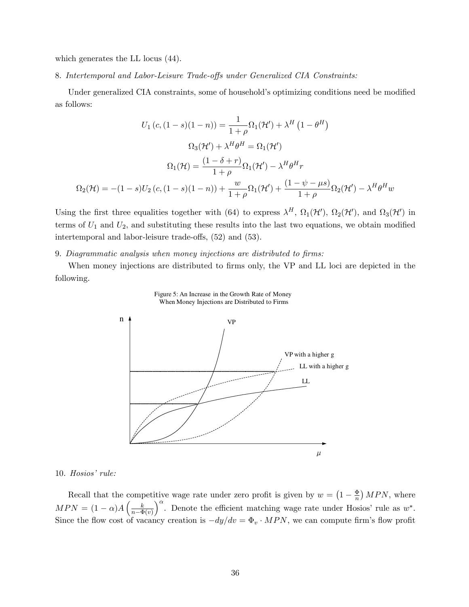which generates the LL locus (44).

8. Intertemporal and Labor-Leisure Trade-offs under Generalized CIA Constraints:

Under generalized CIA constraints, some of household's optimizing conditions need be modified as follows:

$$
U_1(c, (1-s)(1-n)) = \frac{1}{1+\rho} \Omega_1(\mathcal{H}') + \lambda^H (1-\theta^H)
$$

$$
\Omega_3(\mathcal{H}') + \lambda^H \theta^H = \Omega_1(\mathcal{H}')
$$

$$
\Omega_1(\mathcal{H}) = \frac{(1-\delta+r)}{1+\rho} \Omega_1(\mathcal{H}') - \lambda^H \theta^H r
$$

$$
\Omega_2(\mathcal{H}) = -(1-s)U_2(c, (1-s)(1-n)) + \frac{w}{1+\rho} \Omega_1(\mathcal{H}') + \frac{(1-\psi-\mu s)}{1+\rho} \Omega_2(\mathcal{H}') - \lambda^H \theta^H w
$$

Using the first three equalities together with (64) to express  $\lambda^H$ ,  $\Omega_1(\mathcal{H}')$ ,  $\Omega_2(\mathcal{H}')$ , and  $\Omega_3(\mathcal{H}')$  in terms of  $U_1$  and  $U_2$ , and substituting these results into the last two equations, we obtain modified intertemporal and labor-leisure trade-offs,  $(52)$  and  $(53)$ .

9. Diagrammatic analysis when money injections are distributed to firms:

When money injections are distributed to firms only, the VP and LL loci are depicted in the following.



#### Figure 5: An Increase in the Growth Rate of Money When Money Injections are Distributed to Firms

### 10. Hosios' rule:

Recall that the competitive wage rate under zero profit is given by  $w = \left(1 - \frac{\Phi}{n}\right) MPN$ , where n  $MPN = (1 - \alpha)A\left(\frac{k}{n - \Phi(v)}\right)$  $\int_{0}^{\alpha}$ . Denote the efficient matching wage rate under Hosios' rule as  $w^*$ . Since the flow cost of vacancy creation is  $-dy/dv = \Phi_v \cdot MPN$ , we can compute firm's flow profit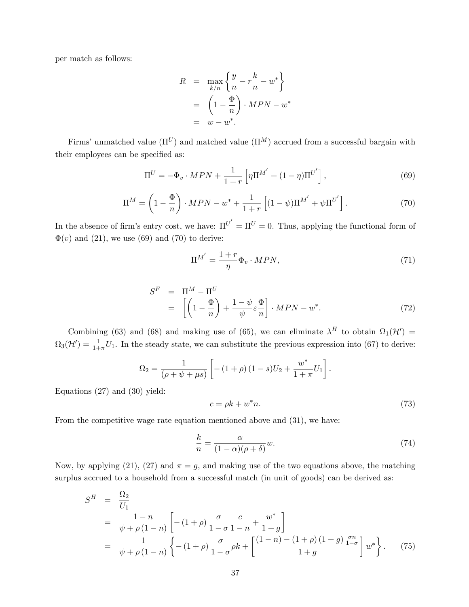per match as follows:

$$
R = \max_{k/n} \left\{ \frac{y}{n} - r\frac{k}{n} - w^* \right\}
$$

$$
= \left( 1 - \frac{\Phi}{n} \right) \cdot MPN - w^*
$$

$$
= w - w^*.
$$

Firms' unmatched value  $(\Pi^U)$  and matched value  $(\Pi^M)$  accrued from a successful bargain with their employees can be specified as:

$$
\Pi^{U} = -\Phi_v \cdot MPN + \frac{1}{1+r} \left[ \eta \Pi^{M'} + (1-\eta) \Pi^{U'} \right],
$$
 (69)

$$
\Pi^M = \left(1 - \frac{\Phi}{n}\right) \cdot MPN - w^* + \frac{1}{1+r} \left[ (1-\psi)\Pi^{M'} + \psi \Pi^{U'} \right]. \tag{70}
$$

In the absence of firm's entry cost, we have:  $\Pi^{U'} = \Pi^{U} = 0$ . Thus, applying the functional form of  $\Phi(v)$  and (21), we use (69) and (70) to derive:

$$
\Pi^{M'} = \frac{1+r}{\eta} \Phi_v \cdot MPN,\tag{71}
$$

$$
S^{F} = \Pi^{M} - \Pi^{U}
$$
  
= 
$$
\left[ \left( 1 - \frac{\Phi}{n} \right) + \frac{1 - \psi}{\psi} \varepsilon \frac{\Phi}{n} \right] \cdot MPN - w^{*}.
$$
 (72)

Combining (63) and (68) and making use of (65), we can eliminate  $\lambda^H$  to obtain  $\Omega_1(\mathcal{H}') =$  $\Omega_3(\mathcal{H}') = \frac{1}{1+\pi}U_1$ . In the steady state, we can substitute the previous expression into (67) to derive:

$$
\Omega_2 = \frac{1}{(\rho + \psi + \mu s)} \left[ -(1 + \rho) (1 - s) U_2 + \frac{w^*}{1 + \pi} U_1 \right].
$$

Equations (27) and (30) yield:

$$
c = \rho k + w^* n. \tag{73}
$$

From the competitive wage rate equation mentioned above and (31), we have:

$$
\frac{k}{n} = \frac{\alpha}{(1-\alpha)(\rho+\delta)}w.\tag{74}
$$

Now, by applying (21), (27) and  $\pi = g$ , and making use of the two equations above, the matching surplus accrued to a household from a successful match (in unit of goods) can be derived as:

$$
S^{H} = \frac{\Omega_{2}}{U_{1}}
$$
  
=  $\frac{1-n}{\psi + \rho(1-n)} \left[ -(1+\rho) \frac{\sigma}{1-\sigma} \frac{c}{1-n} + \frac{w^{*}}{1+g} \right]$   
=  $\frac{1}{\psi + \rho(1-n)} \left\{ -(1+\rho) \frac{\sigma}{1-\sigma} \rho k + \left[ \frac{(1-n) - (1+\rho)(1+g) \frac{\sigma n}{1-\sigma}}{1+g} \right] w^{*} \right\}.$  (75)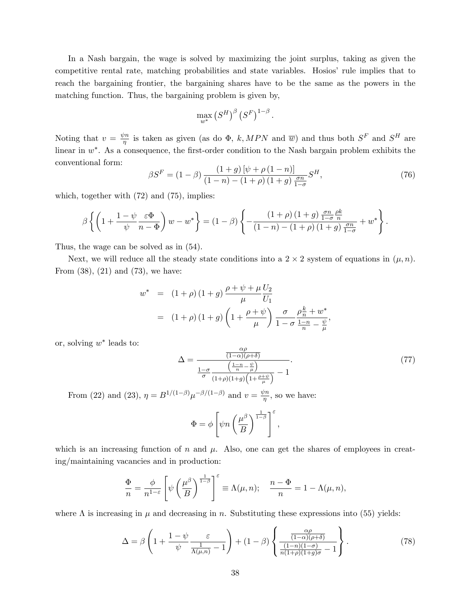In a Nash bargain, the wage is solved by maximizing the joint surplus, taking as given the competitive rental rate, matching probabilities and state variables. Hosios' rule implies that to reach the bargaining frontier, the bargaining shares have to be the same as the powers in the matching function. Thus, the bargaining problem is given by,

$$
\max_{w^*} \left( S^H \right)^{\beta} \left( S^F \right)^{1-\beta}.
$$

Noting that  $v = \frac{\psi_n}{n}$  $\frac{\partial n}{\partial n}$  is taken as given (as do  $\Phi$ , k, MPN and  $\overline{w}$ ) and thus both  $S^F$  and  $S^H$  are linear in  $w^*$ . As a consequence, the first-order condition to the Nash bargain problem exhibits the conventional form:

$$
\beta S^{F} = (1 - \beta) \frac{(1 + g) [\psi + \rho (1 - n)]}{(1 - n) - (1 + \rho) (1 + g) \frac{\sigma n}{1 - \sigma}} S^{H}, \tag{76}
$$

which, together with  $(72)$  and  $(75)$ , implies:

$$
\beta \left\{ \left( 1 + \frac{1 - \psi}{\psi} \frac{\varepsilon \Phi}{n - \Phi} \right) w - w^* \right\} = (1 - \beta) \left\{ - \frac{(1 + \rho) (1 + g) \frac{\sigma n}{1 - \sigma} \frac{\rho k}{n}}{(1 - n) - (1 + \rho) (1 + g) \frac{\sigma n}{1 - \sigma}} + w^* \right\}.
$$

Thus, the wage can be solved as in (54).

Next, we will reduce all the steady state conditions into a  $2 \times 2$  system of equations in  $(\mu, n)$ . From (38), (21) and (73), we have:

$$
w^* = (1+\rho)(1+g)\frac{\rho+\psi+\mu}{\mu}\frac{U_2}{U_1}
$$
  
=  $(1+\rho)(1+g)\left(1+\frac{\rho+\psi}{\mu}\right)\frac{\sigma}{1-\sigma}\frac{\rho_n^k+w^*}{\frac{1-n}{n}-\frac{\psi}{\mu}},$ 

or, solving  $w^*$  leads to:

$$
\Delta = \frac{\frac{\alpha \rho}{(1-\alpha)(\rho+\delta)}}{\frac{1-\sigma}{\sigma} \frac{\left(\frac{1-n}{n} - \frac{\psi}{\mu}\right)}{(1+\rho)(1+g)\left(1+\frac{\rho+\psi}{\mu}\right)} - 1}.
$$
\n(77)

From (22) and (23),  $\eta = B^{1/(1-\beta)} \mu^{-\beta/(1-\beta)}$  and  $v = \frac{\psi n}{n}$  $\frac{\partial n}{\partial \eta}$ , so we have:

$$
\Phi = \phi \left[ \psi n \left( \frac{\mu^{\beta}}{B} \right)^{\frac{1}{1-\beta}} \right]^{\varepsilon},
$$

which is an increasing function of n and  $\mu$ . Also, one can get the shares of employees in creating/maintaining vacancies and in production:

$$
\frac{\Phi}{n} = \frac{\phi}{n^{1-\varepsilon}} \left[ \psi \left( \frac{\mu^{\beta}}{B} \right)^{\frac{1}{1-\beta}} \right]^{\varepsilon} \equiv \Lambda(\mu, n); \quad \frac{n-\Phi}{n} = 1 - \Lambda(\mu, n),
$$

where  $\Lambda$  is increasing in  $\mu$  and decreasing in n. Substituting these expressions into (55) yields:

$$
\Delta = \beta \left( 1 + \frac{1 - \psi}{\psi} \frac{\varepsilon}{\frac{1}{\Lambda(\mu, n)} - 1} \right) + (1 - \beta) \left\{ \frac{\frac{\alpha \rho}{(1 - \alpha)(\rho + \delta)}}{\frac{(1 - n)(1 - \sigma)}{n(1 + \rho)(1 + g)\sigma} - 1} \right\}.
$$
(78)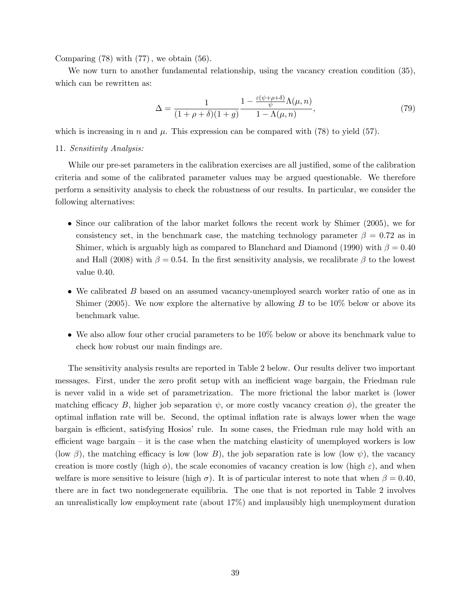Comparing  $(78)$  with  $(77)$ , we obtain  $(56)$ .

We now turn to another fundamental relationship, using the vacancy creation condition (35), which can be rewritten as:

$$
\Delta = \frac{1}{(1+\rho+\delta)(1+g)} \frac{1 - \frac{\varepsilon(\psi+\rho+\delta)}{\psi} \Lambda(\mu, n)}{1 - \Lambda(\mu, n)},\tag{79}
$$

which is increasing in n and  $\mu$ . This expression can be compared with (78) to yield (57).

#### 11. Sensitivity Analysis:

While our pre-set parameters in the calibration exercises are all justified, some of the calibration criteria and some of the calibrated parameter values may be argued questionable. We therefore perform a sensitivity analysis to check the robustness of our results. In particular, we consider the following alternatives:

- Since our calibration of the labor market follows the recent work by Shimer (2005), we for consistency set, in the benchmark case, the matching technology parameter  $\beta = 0.72$  as in Shimer, which is arguably high as compared to Blanchard and Diamond (1990) with  $\beta = 0.40$ and Hall (2008) with  $\beta = 0.54$ . In the first sensitivity analysis, we recalibrate  $\beta$  to the lowest value  $0.40$ .
- $\bullet$  We calibrated B based on an assumed vacancy-unemployed search worker ratio of one as in Shimer (2005). We now explore the alternative by allowing  $B$  to be 10% below or above its benchmark value.
- We also allow four other crucial parameters to be 10% below or above its benchmark value to check how robust our main Öndings are.

The sensitivity analysis results are reported in Table 2 below. Our results deliver two important messages. First, under the zero profit setup with an inefficient wage bargain, the Friedman rule is never valid in a wide set of parametrization. The more frictional the labor market is (lower matching efficacy B, higher job separation  $\psi$ , or more costly vacancy creation  $\phi$ ), the greater the optimal inflation rate will be. Second, the optimal inflation rate is always lower when the wage bargain is efficient, satisfying Hosios' rule. In some cases, the Friedman rule may hold with an efficient wage bargain  $-$  it is the case when the matching elasticity of unemployed workers is low (low  $\beta$ ), the matching efficacy is low (low B), the job separation rate is low (low  $\psi$ ), the vacancy creation is more costly (high  $\phi$ ), the scale economies of vacancy creation is low (high  $\varepsilon$ ), and when welfare is more sensitive to leisure (high  $\sigma$ ). It is of particular interest to note that when  $\beta = 0.40$ , there are in fact two nondegenerate equilibria. The one that is not reported in Table 2 involves an unrealistically low employment rate (about 17%) and implausibly high unemployment duration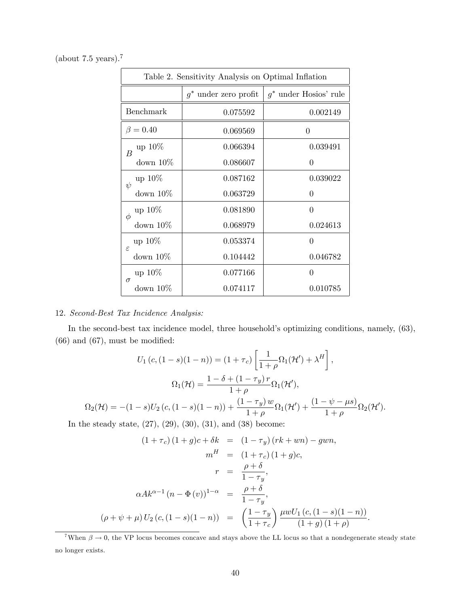(about 7.5 years). $^7$ 

| Table 2. Sensitivity Analysis on Optimal Inflation |                         |                          |  |
|----------------------------------------------------|-------------------------|--------------------------|--|
|                                                    | $g^*$ under zero profit | $q^*$ under Hosios' rule |  |
| Benchmark                                          | 0.075592                | 0.002149                 |  |
| $\beta = 0.40$                                     | 0.069569                | 0                        |  |
| $up 10\%$<br>$\overline{B}$                        | 0.066394                | 0.039491                 |  |
| down $10\%$                                        | 0.086607                | 0                        |  |
| up $10\%$<br>$\psi$                                | 0.087162                | 0.039022                 |  |
| $down\ 10\%$                                       | 0.063729                | 0                        |  |
| up $10\%$<br>$\phi$                                | 0.081890                | $\theta$                 |  |
| down $10\%$                                        | 0.068979                | 0.024613                 |  |
| $up 10\%$                                          | 0.053374                | 0                        |  |
| $\epsilon$<br>down $10\%$                          | 0.104442                | 0.046782                 |  |
| up $10\%$                                          | 0.077166                | $\theta$                 |  |
| $\sigma$<br>$down\ 10\%$                           | 0.074117                | 0.010785                 |  |

## 12. Second-Best Tax Incidence Analysis:

In the second-best tax incidence model, three household's optimizing conditions, namely, (63),  $(66)$  and  $(67)$ , must be modified:

$$
U_1 (c, (1 - s)(1 - n)) = (1 + \tau_c) \left[ \frac{1}{1 + \rho} \Omega_1(\mathcal{H}') + \lambda^H \right],
$$
  

$$
\Omega_1(\mathcal{H}) = \frac{1 - \delta + (1 - \tau_y) r}{1 + \rho} \Omega_1(\mathcal{H}'),
$$
  

$$
\Omega_2(\mathcal{H}) = -(1 - s) U_2 (c, (1 - s)(1 - n)) + \frac{(1 - \tau_y) w}{1 + \rho} \Omega_1(\mathcal{H}') + \frac{(1 - \psi - \mu s)}{1 + \rho} \Omega_2(\mathcal{H}').
$$

In the steady state, (27), (29), (30), (31), and (38) become:

$$
(1 + \tau_c) (1 + g)c + \delta k = (1 - \tau_y) (rk + wn) - gwn,
$$
  
\n
$$
m^H = (1 + \tau_c) (1 + g)c,
$$
  
\n
$$
r = \frac{\rho + \delta}{1 - \tau_y},
$$
  
\n
$$
\alpha A k^{\alpha - 1} (n - \Phi(v))^{1 - \alpha} = \frac{\rho + \delta}{1 - \tau_y},
$$
  
\n
$$
(\rho + \psi + \mu) U_2 (c, (1 - s)(1 - n)) = \left(\frac{1 - \tau_y}{1 + \tau_c}\right) \frac{\mu w U_1 (c, (1 - s)(1 - n))}{(1 + g)(1 + \rho)}
$$

.

<sup>7</sup>When  $\beta \rightarrow 0$ , the VP locus becomes concave and stays above the LL locus so that a nondegenerate steady state no longer exists.